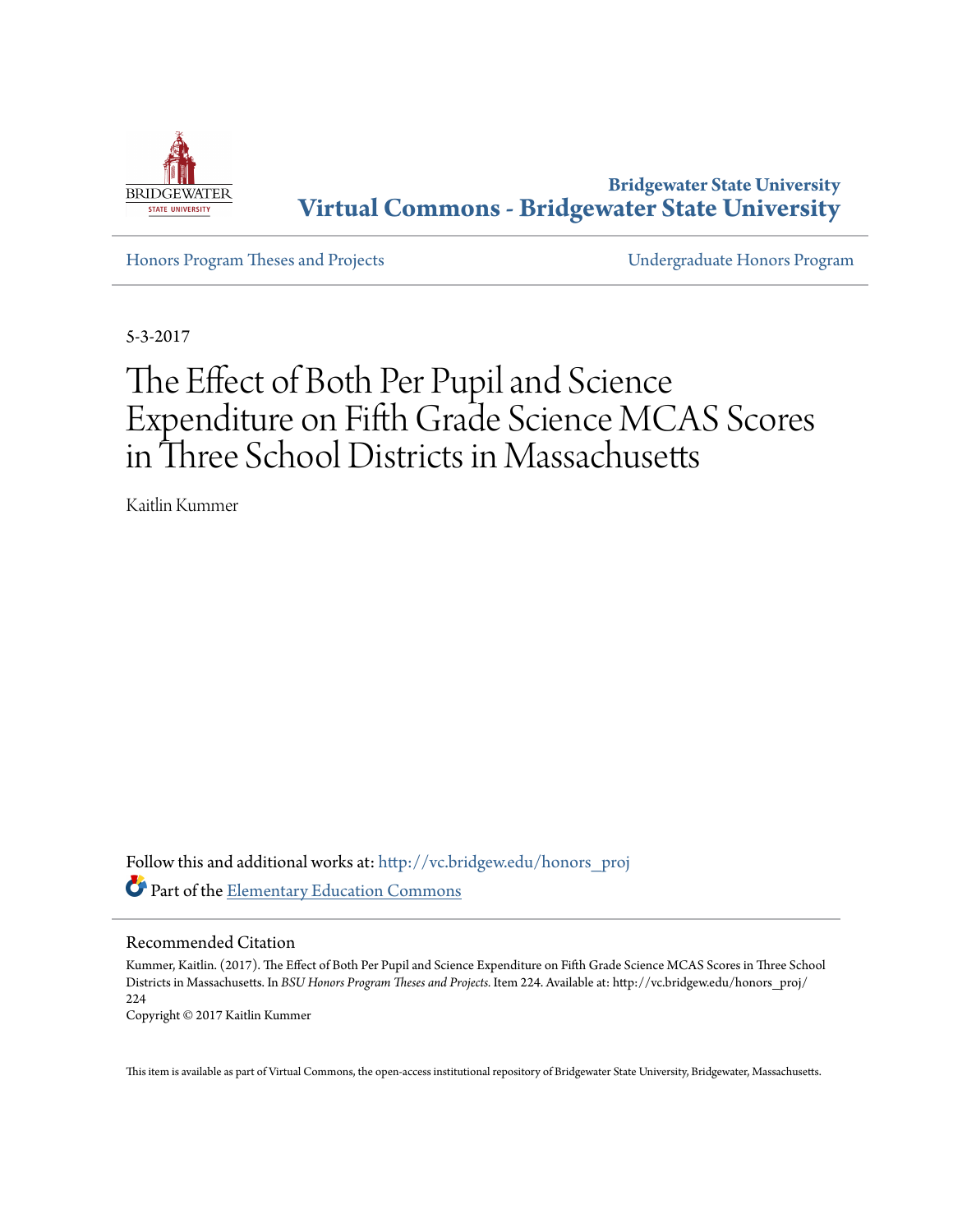

**Bridgewater State University [Virtual Commons - Bridgewater State University](http://vc.bridgew.edu?utm_source=vc.bridgew.edu%2Fhonors_proj%2F224&utm_medium=PDF&utm_campaign=PDFCoverPages)**

[Honors Program Theses and Projects](http://vc.bridgew.edu/honors_proj?utm_source=vc.bridgew.edu%2Fhonors_proj%2F224&utm_medium=PDF&utm_campaign=PDFCoverPages) [Undergraduate Honors Program](http://vc.bridgew.edu/honors?utm_source=vc.bridgew.edu%2Fhonors_proj%2F224&utm_medium=PDF&utm_campaign=PDFCoverPages)

5-3-2017

# The Effect of Both Per Pupil and Science Expenditure on Fifth Grade Science MCAS Scores in Three School Districts in Massachusetts

Kaitlin Kummer

Follow this and additional works at: [http://vc.bridgew.edu/honors\\_proj](http://vc.bridgew.edu/honors_proj?utm_source=vc.bridgew.edu%2Fhonors_proj%2F224&utm_medium=PDF&utm_campaign=PDFCoverPages) Part of the [Elementary Education Commons](http://network.bepress.com/hgg/discipline/1378?utm_source=vc.bridgew.edu%2Fhonors_proj%2F224&utm_medium=PDF&utm_campaign=PDFCoverPages)

#### Recommended Citation

Kummer, Kaitlin. (2017). The Effect of Both Per Pupil and Science Expenditure on Fifth Grade Science MCAS Scores in Three School Districts in Massachusetts. In *BSU Honors Program Theses and Projects.* Item 224. Available at: http://vc.bridgew.edu/honors\_proj/ 224 Copyright © 2017 Kaitlin Kummer

This item is available as part of Virtual Commons, the open-access institutional repository of Bridgewater State University, Bridgewater, Massachusetts.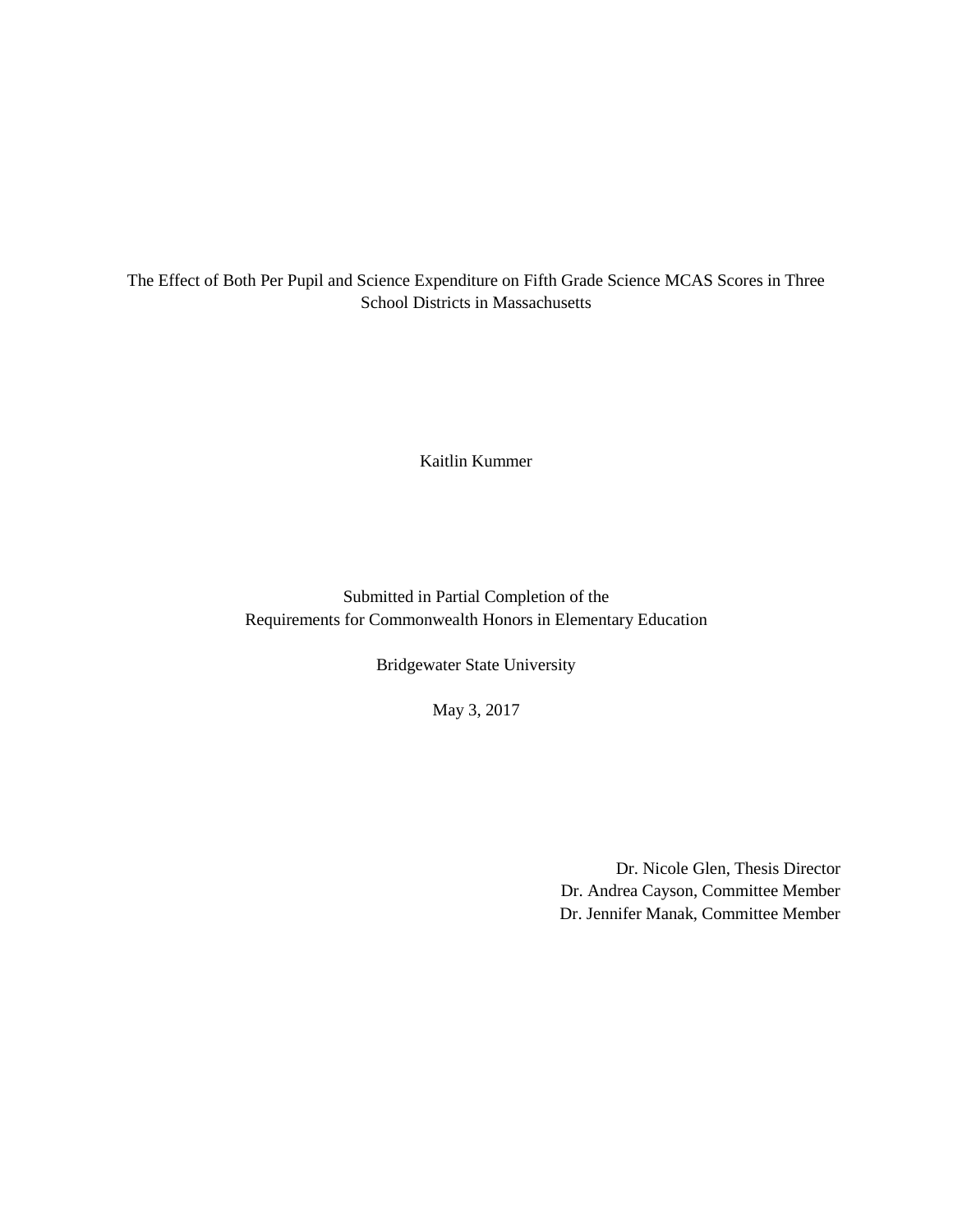The Effect of Both Per Pupil and Science Expenditure on Fifth Grade Science MCAS Scores in Three School Districts in Massachusetts

Kaitlin Kummer

Submitted in Partial Completion of the Requirements for Commonwealth Honors in Elementary Education

Bridgewater State University

May 3, 2017

Dr. Nicole Glen, Thesis Director Dr. Andrea Cayson, Committee Member Dr. Jennifer Manak, Committee Member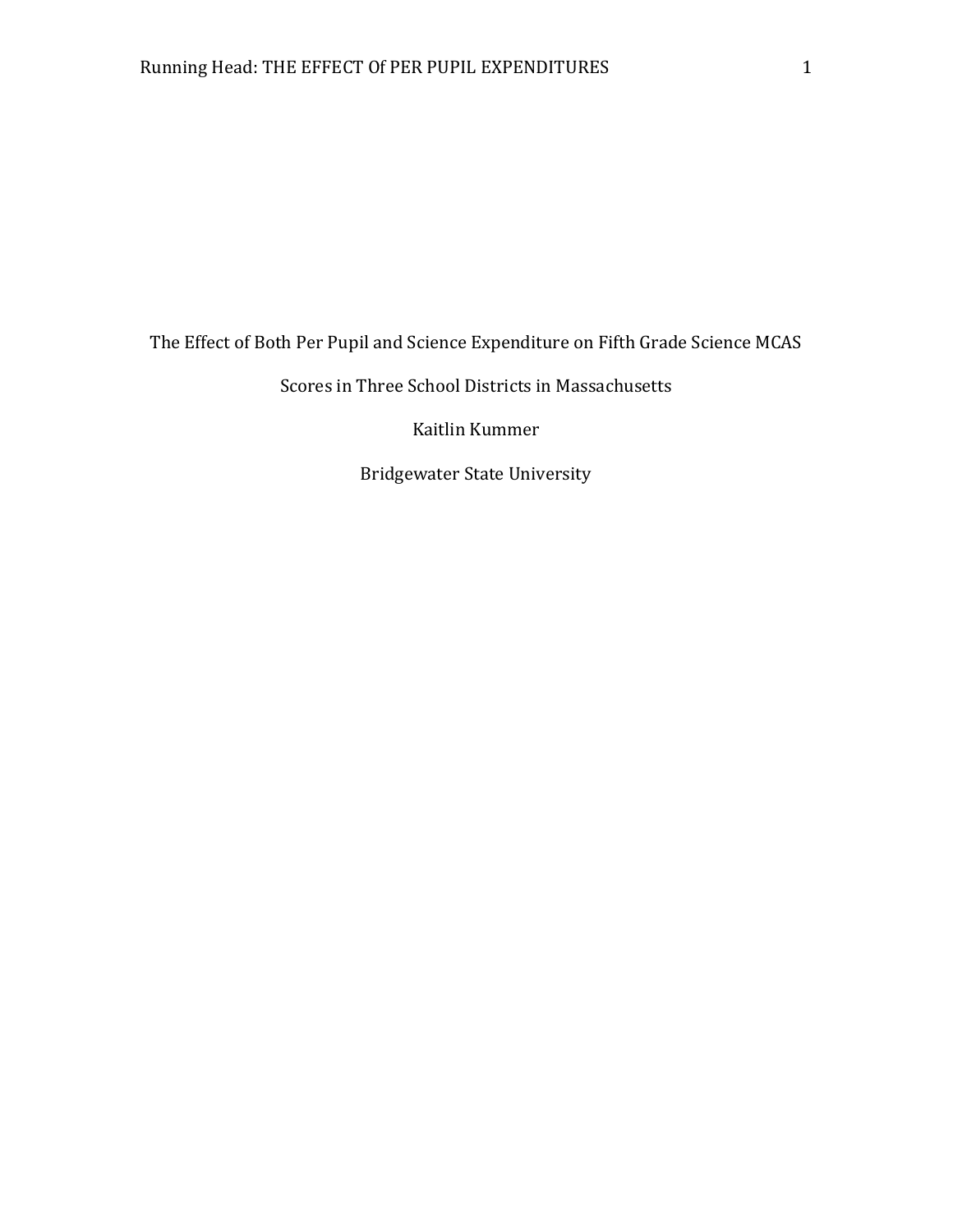The Effect of Both Per Pupil and Science Expenditure on Fifth Grade Science MCAS

# Scores in Three School Districts in Massachusetts

Kaitlin Kummer

Bridgewater State University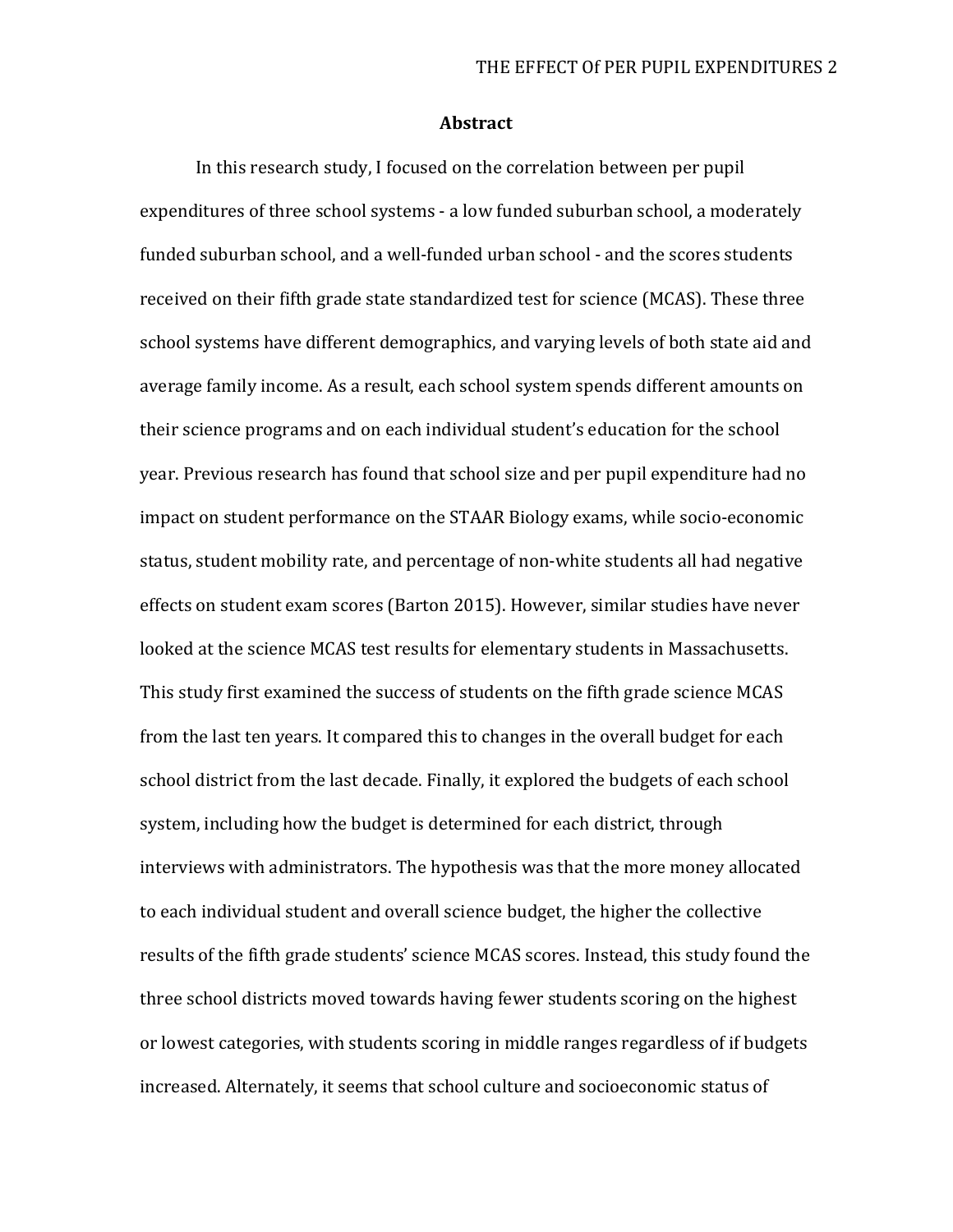#### **Abstract**

In this research study, I focused on the correlation between per pupil expenditures of three school systems - a low funded suburban school, a moderately funded suburban school, and a well-funded urban school - and the scores students received on their fifth grade state standardized test for science (MCAS). These three school systems have different demographics, and varying levels of both state aid and average family income. As a result, each school system spends different amounts on their science programs and on each individual student's education for the school year. Previous research has found that school size and per pupil expenditure had no impact on student performance on the STAAR Biology exams, while socio-economic status, student mobility rate, and percentage of non-white students all had negative effects on student exam scores (Barton 2015). However, similar studies have never looked at the science MCAS test results for elementary students in Massachusetts. This study first examined the success of students on the fifth grade science MCAS from the last ten years. It compared this to changes in the overall budget for each school district from the last decade. Finally, it explored the budgets of each school system, including how the budget is determined for each district, through interviews with administrators. The hypothesis was that the more money allocated to each individual student and overall science budget, the higher the collective results of the fifth grade students' science MCAS scores. Instead, this study found the three school districts moved towards having fewer students scoring on the highest or lowest categories, with students scoring in middle ranges regardless of if budgets increased. Alternately, it seems that school culture and socioeconomic status of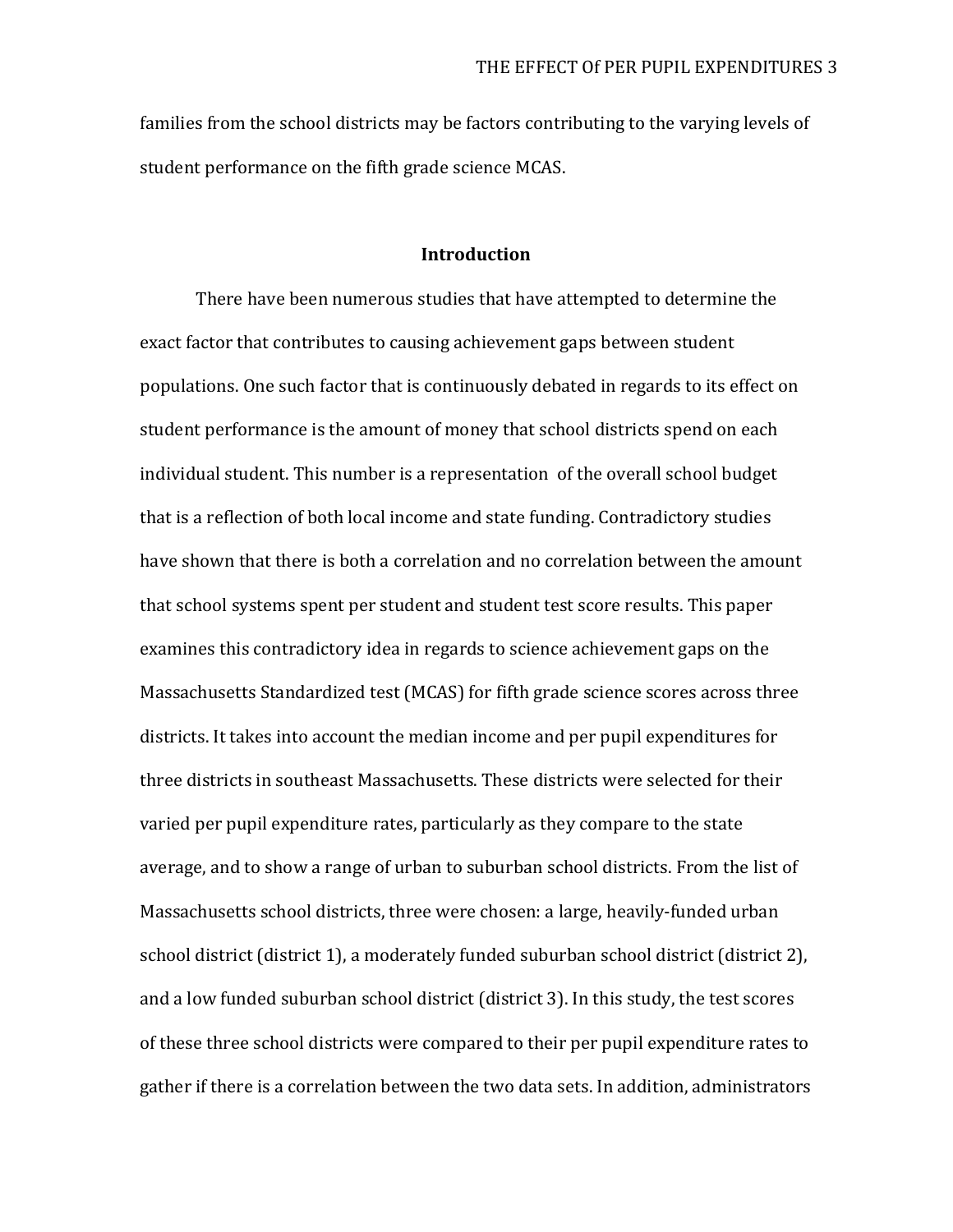families from the school districts may be factors contributing to the varying levels of student performance on the fifth grade science MCAS.

#### **Introduction**

There have been numerous studies that have attempted to determine the exact factor that contributes to causing achievement gaps between student populations. One such factor that is continuously debated in regards to its effect on student performance is the amount of money that school districts spend on each individual student. This number is a representation of the overall school budget that is a reflection of both local income and state funding. Contradictory studies have shown that there is both a correlation and no correlation between the amount that school systems spent per student and student test score results. This paper examines this contradictory idea in regards to science achievement gaps on the Massachusetts Standardized test (MCAS) for fifth grade science scores across three districts. It takes into account the median income and per pupil expenditures for three districts in southeast Massachusetts. These districts were selected for their varied per pupil expenditure rates, particularly as they compare to the state average, and to show a range of urban to suburban school districts. From the list of Massachusetts school districts, three were chosen: a large, heavily-funded urban school district (district 1), a moderately funded suburban school district (district 2), and a low funded suburban school district (district 3). In this study, the test scores of these three school districts were compared to their per pupil expenditure rates to gather if there is a correlation between the two data sets. In addition, administrators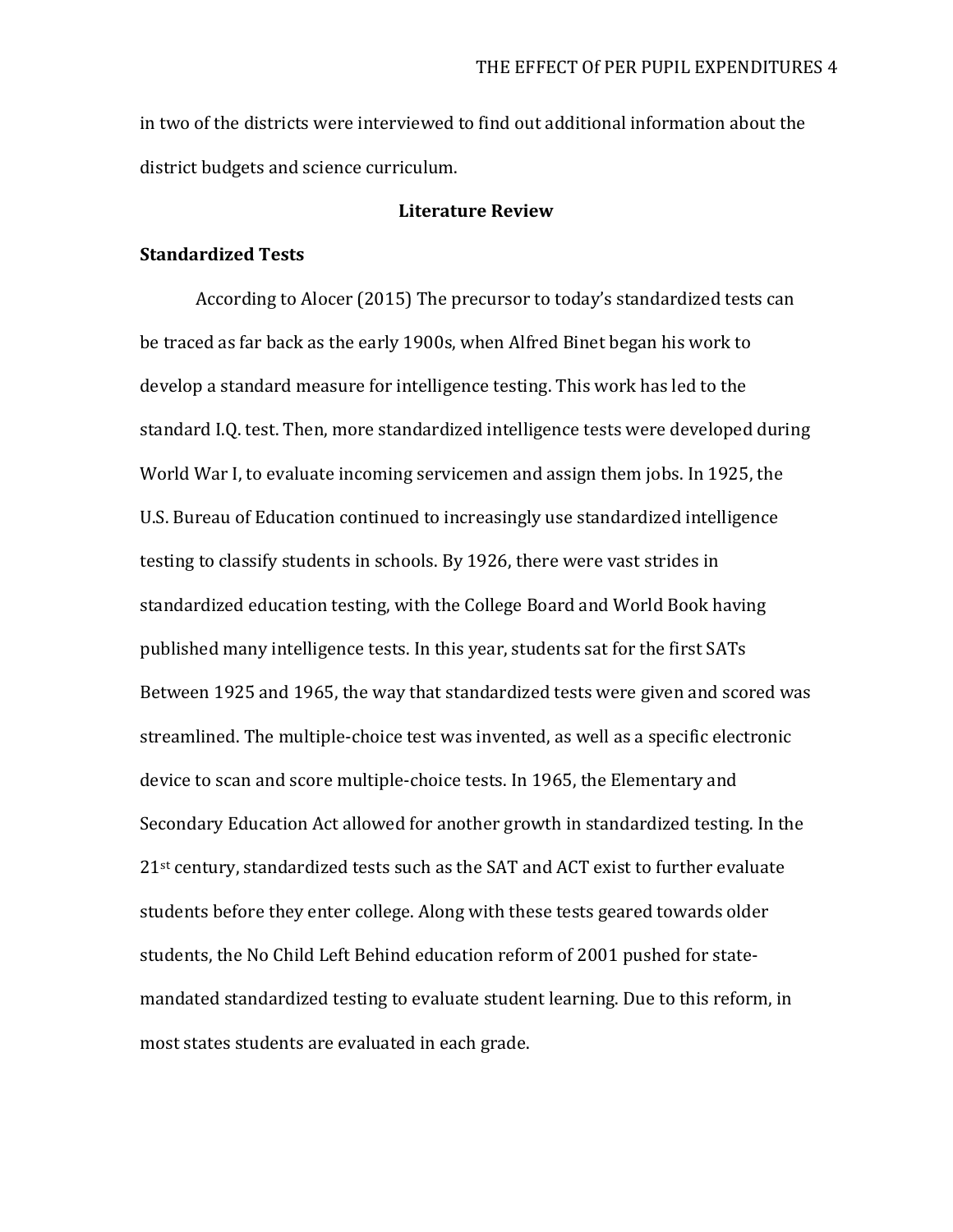in two of the districts were interviewed to find out additional information about the district budgets and science curriculum.

#### **Literature Review**

#### **Standardized Tests**

According to Alocer (2015) The precursor to today's standardized tests can be traced as far back as the early 1900s, when Alfred Binet began his work to develop a standard measure for intelligence testing. This work has led to the standard I.Q. test. Then, more standardized intelligence tests were developed during World War I, to evaluate incoming servicemen and assign them jobs. In 1925, the U.S. Bureau of Education continued to increasingly use standardized intelligence testing to classify students in schools. By 1926, there were vast strides in standardized education testing, with the College Board and World Book having published many intelligence tests. In this year, students sat for the first SATs Between 1925 and 1965, the way that standardized tests were given and scored was streamlined. The multiple-choice test was invented, as well as a specific electronic device to scan and score multiple-choice tests. In 1965, the Elementary and Secondary Education Act allowed for another growth in standardized testing. In the 21st century, standardized tests such as the SAT and ACT exist to further evaluate students before they enter college. Along with these tests geared towards older students, the No Child Left Behind education reform of 2001 pushed for statemandated standardized testing to evaluate student learning. Due to this reform, in most states students are evaluated in each grade.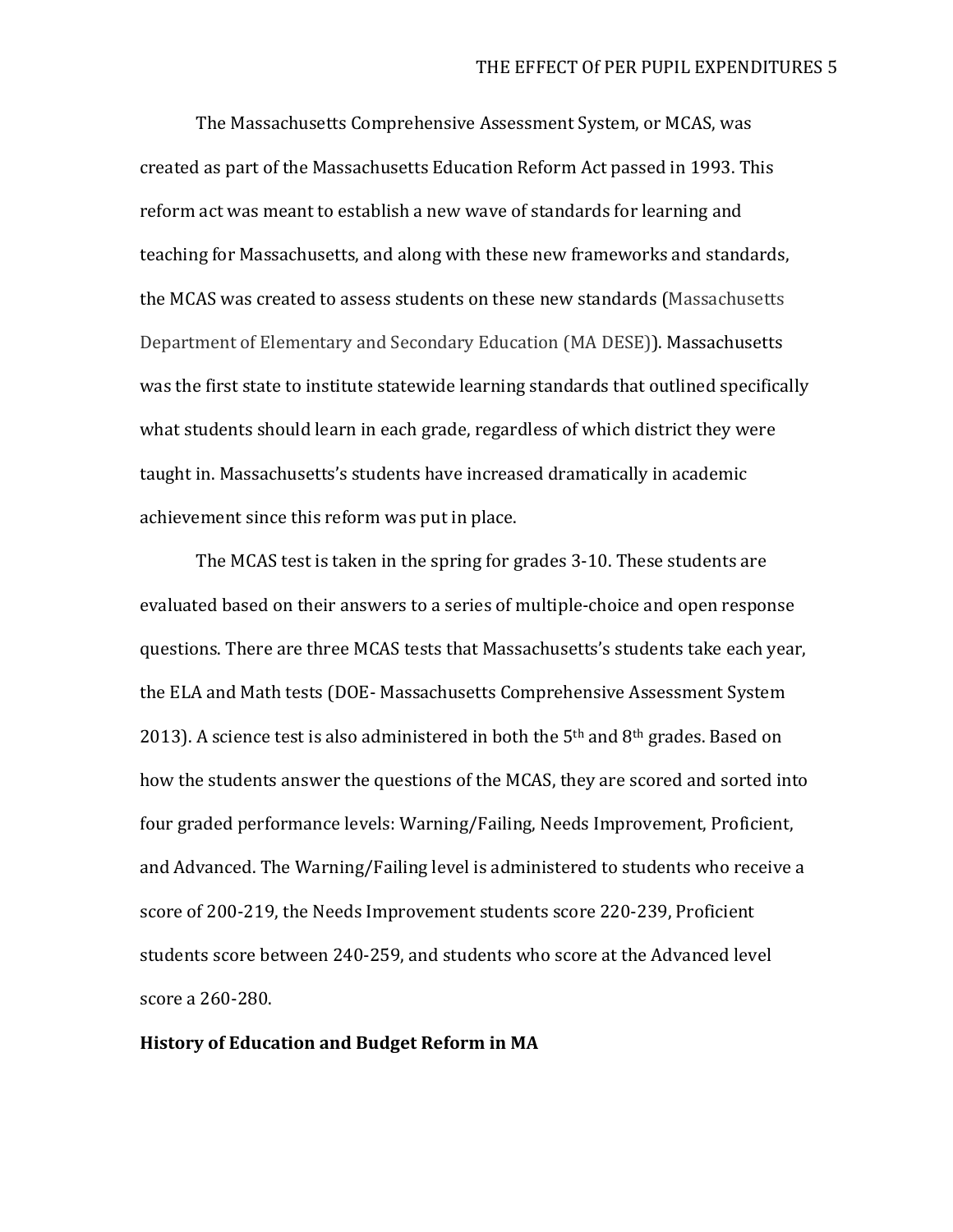The Massachusetts Comprehensive Assessment System, or MCAS, was created as part of the Massachusetts Education Reform Act passed in 1993. This reform act was meant to establish a new wave of standards for learning and teaching for Massachusetts, and along with these new frameworks and standards, the MCAS was created to assess students on these new standards (Massachusetts Department of Elementary and Secondary Education (MA DESE)). Massachusetts was the first state to institute statewide learning standards that outlined specifically what students should learn in each grade, regardless of which district they were taught in. Massachusetts's students have increased dramatically in academic achievement since this reform was put in place.

The MCAS test is taken in the spring for grades 3-10. These students are evaluated based on their answers to a series of multiple-choice and open response questions. There are three MCAS tests that Massachusetts's students take each year, the ELA and Math tests (DOE- Massachusetts Comprehensive Assessment System 2013). A science test is also administered in both the  $5<sup>th</sup>$  and  $8<sup>th</sup>$  grades. Based on how the students answer the questions of the MCAS, they are scored and sorted into four graded performance levels: Warning/Failing, Needs Improvement, Proficient, and Advanced. The Warning/Failing level is administered to students who receive a score of 200-219, the Needs Improvement students score 220-239, Proficient students score between 240-259, and students who score at the Advanced level score a 260-280.

#### **History of Education and Budget Reform in MA**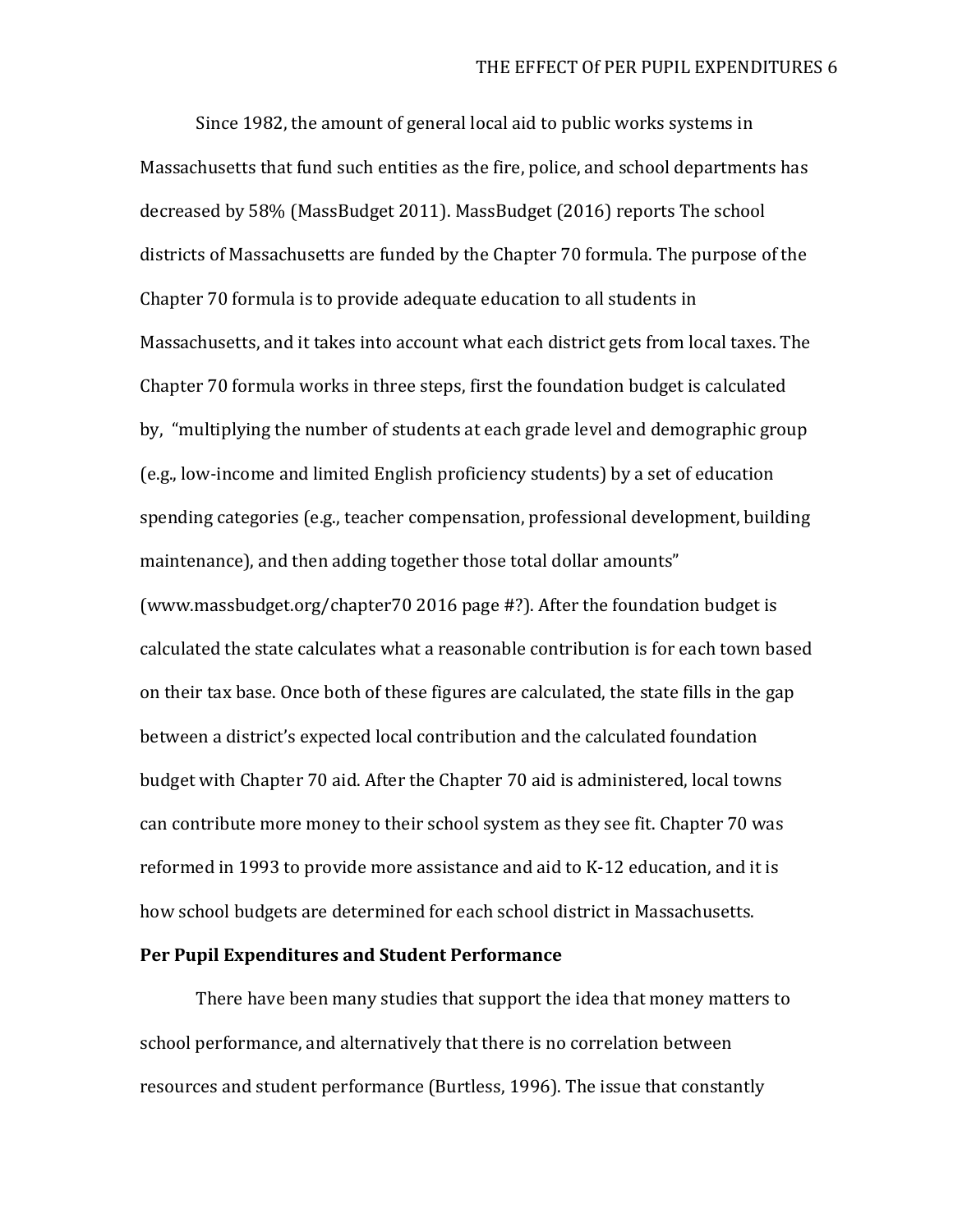Since 1982, the amount of general local aid to public works systems in Massachusetts that fund such entities as the fire, police, and school departments has decreased by 58% (MassBudget 2011). MassBudget (2016) reports The school districts of Massachusetts are funded by the Chapter 70 formula. The purpose of the Chapter 70 formula is to provide adequate education to all students in Massachusetts, and it takes into account what each district gets from local taxes. The Chapter 70 formula works in three steps, first the foundation budget is calculated by, "multiplying the number of students at each grade level and demographic group (e.g., low-income and limited English proficiency students) by a set of education spending categories (e.g., teacher compensation, professional development, building maintenance), and then adding together those total dollar amounts" (www.massbudget.org/chapter70 2016 page #?). After the foundation budget is calculated the state calculates what a reasonable contribution is for each town based on their tax base. Once both of these figures are calculated, the state fills in the gap between a district's expected local contribution and the calculated foundation budget with Chapter 70 aid. After the Chapter 70 aid is administered, local towns can contribute more money to their school system as they see fit. Chapter 70 was reformed in 1993 to provide more assistance and aid to K-12 education, and it is how school budgets are determined for each school district in Massachusetts.

#### **Per Pupil Expenditures and Student Performance**

There have been many studies that support the idea that money matters to school performance, and alternatively that there is no correlation between resources and student performance (Burtless, 1996). The issue that constantly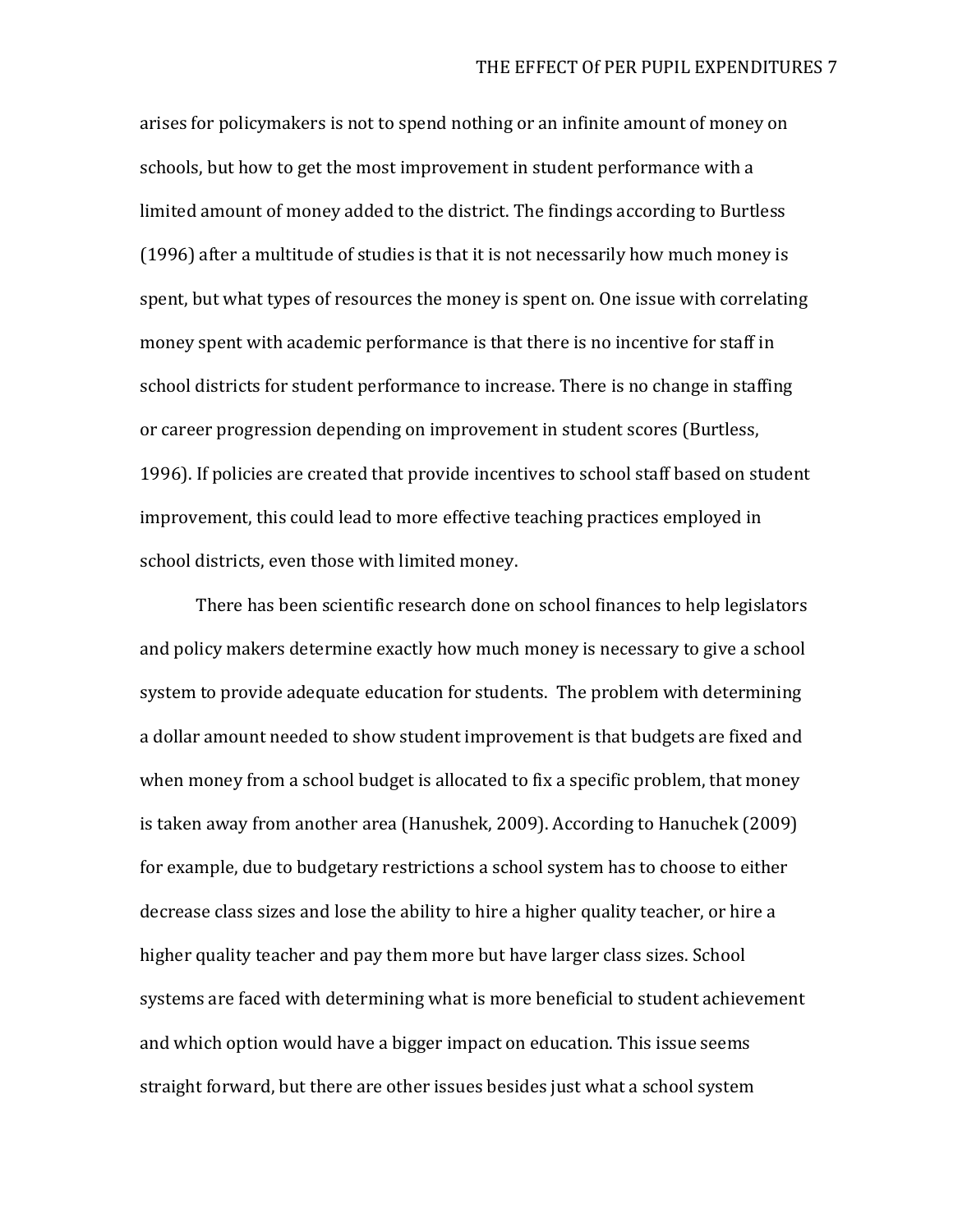arises for policymakers is not to spend nothing or an infinite amount of money on schools, but how to get the most improvement in student performance with a limited amount of money added to the district. The findings according to Burtless (1996) after a multitude of studies is that it is not necessarily how much money is spent, but what types of resources the money is spent on. One issue with correlating money spent with academic performance is that there is no incentive for staff in school districts for student performance to increase. There is no change in staffing or career progression depending on improvement in student scores (Burtless, 1996). If policies are created that provide incentives to school staff based on student improvement, this could lead to more effective teaching practices employed in school districts, even those with limited money.

There has been scientific research done on school finances to help legislators and policy makers determine exactly how much money is necessary to give a school system to provide adequate education for students. The problem with determining a dollar amount needed to show student improvement is that budgets are fixed and when money from a school budget is allocated to fix a specific problem, that money is taken away from another area (Hanushek, 2009). According to Hanuchek (2009) for example, due to budgetary restrictions a school system has to choose to either decrease class sizes and lose the ability to hire a higher quality teacher, or hire a higher quality teacher and pay them more but have larger class sizes. School systems are faced with determining what is more beneficial to student achievement and which option would have a bigger impact on education. This issue seems straight forward, but there are other issues besides just what a school system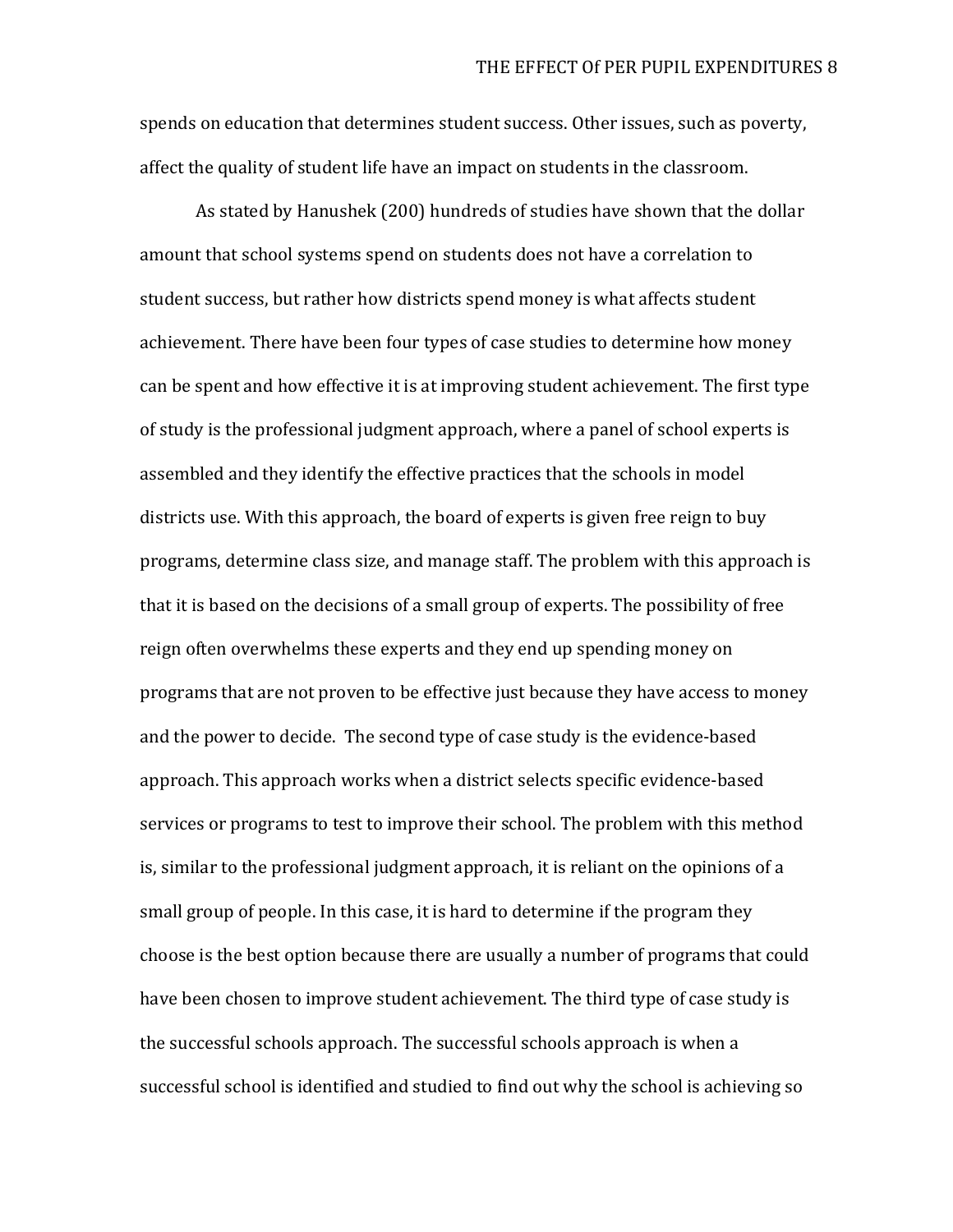spends on education that determines student success. Other issues, such as poverty, affect the quality of student life have an impact on students in the classroom.

As stated by Hanushek (200) hundreds of studies have shown that the dollar amount that school systems spend on students does not have a correlation to student success, but rather how districts spend money is what affects student achievement. There have been four types of case studies to determine how money can be spent and how effective it is at improving student achievement. The first type of study is the professional judgment approach, where a panel of school experts is assembled and they identify the effective practices that the schools in model districts use. With this approach, the board of experts is given free reign to buy programs, determine class size, and manage staff. The problem with this approach is that it is based on the decisions of a small group of experts. The possibility of free reign often overwhelms these experts and they end up spending money on programs that are not proven to be effective just because they have access to money and the power to decide. The second type of case study is the evidence-based approach. This approach works when a district selects specific evidence-based services or programs to test to improve their school. The problem with this method is, similar to the professional judgment approach, it is reliant on the opinions of a small group of people. In this case, it is hard to determine if the program they choose is the best option because there are usually a number of programs that could have been chosen to improve student achievement. The third type of case study is the successful schools approach. The successful schools approach is when a successful school is identified and studied to find out why the school is achieving so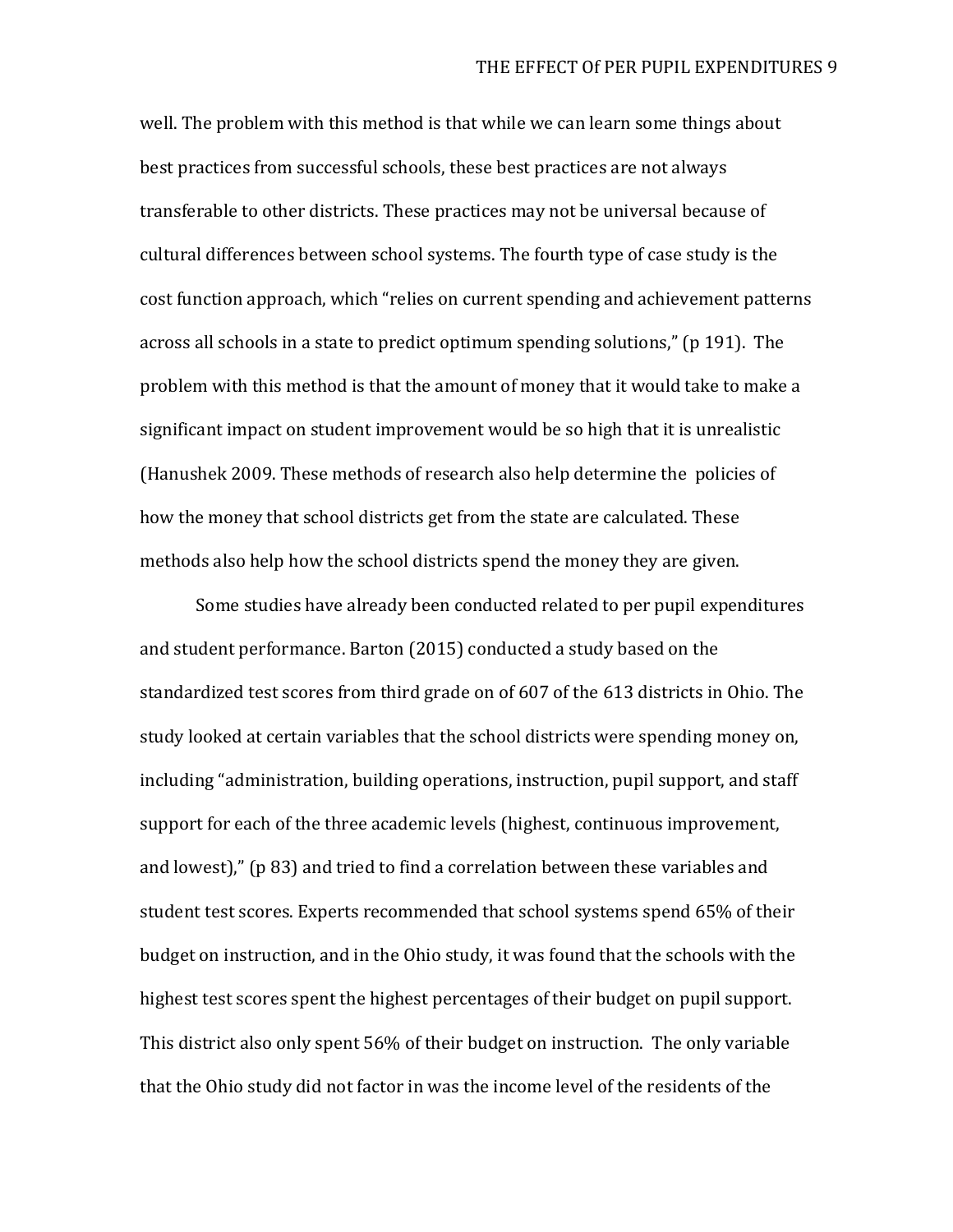well. The problem with this method is that while we can learn some things about best practices from successful schools, these best practices are not always transferable to other districts. These practices may not be universal because of cultural differences between school systems. The fourth type of case study is the cost function approach, which "relies on current spending and achievement patterns across all schools in a state to predict optimum spending solutions," (p 191). The problem with this method is that the amount of money that it would take to make a significant impact on student improvement would be so high that it is unrealistic (Hanushek 2009. These methods of research also help determine the policies of how the money that school districts get from the state are calculated. These methods also help how the school districts spend the money they are given.

Some studies have already been conducted related to per pupil expenditures and student performance. Barton (2015) conducted a study based on the standardized test scores from third grade on of 607 of the 613 districts in Ohio. The study looked at certain variables that the school districts were spending money on, including "administration, building operations, instruction, pupil support, and staff support for each of the three academic levels (highest, continuous improvement, and lowest)," (p 83) and tried to find a correlation between these variables and student test scores. Experts recommended that school systems spend 65% of their budget on instruction, and in the Ohio study, it was found that the schools with the highest test scores spent the highest percentages of their budget on pupil support. This district also only spent 56% of their budget on instruction. The only variable that the Ohio study did not factor in was the income level of the residents of the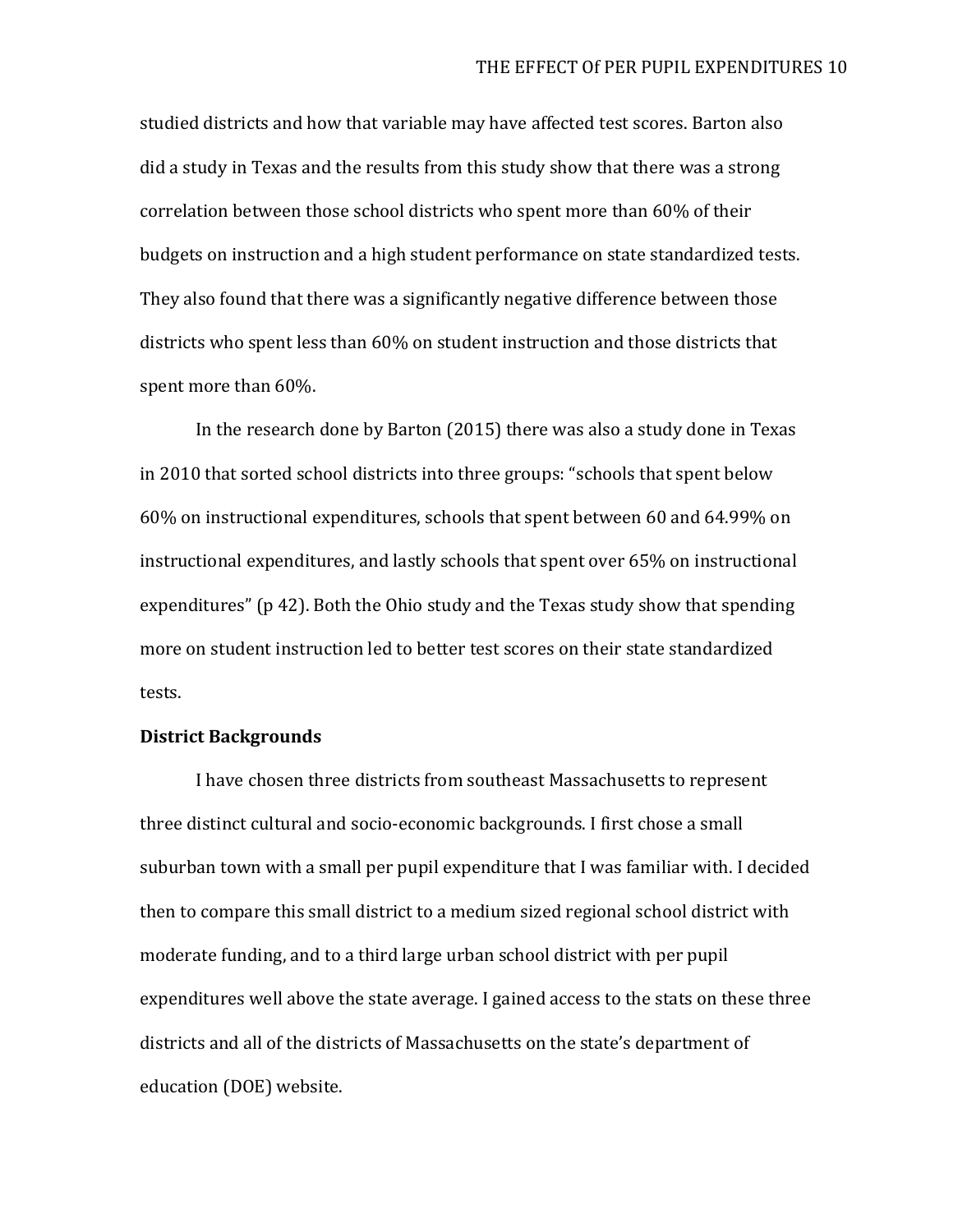studied districts and how that variable may have affected test scores. Barton also did a study in Texas and the results from this study show that there was a strong correlation between those school districts who spent more than 60% of their budgets on instruction and a high student performance on state standardized tests. They also found that there was a significantly negative difference between those districts who spent less than 60% on student instruction and those districts that spent more than 60%.

In the research done by Barton (2015) there was also a study done in Texas in 2010 that sorted school districts into three groups: "schools that spent below 60% on instructional expenditures, schools that spent between 60 and 64.99% on instructional expenditures, and lastly schools that spent over 65% on instructional expenditures" (p 42). Both the Ohio study and the Texas study show that spending more on student instruction led to better test scores on their state standardized tests.

#### **District Backgrounds**

I have chosen three districts from southeast Massachusetts to represent three distinct cultural and socio-economic backgrounds. I first chose a small suburban town with a small per pupil expenditure that I was familiar with. I decided then to compare this small district to a medium sized regional school district with moderate funding, and to a third large urban school district with per pupil expenditures well above the state average. I gained access to the stats on these three districts and all of the districts of Massachusetts on the state's department of education (DOE) website.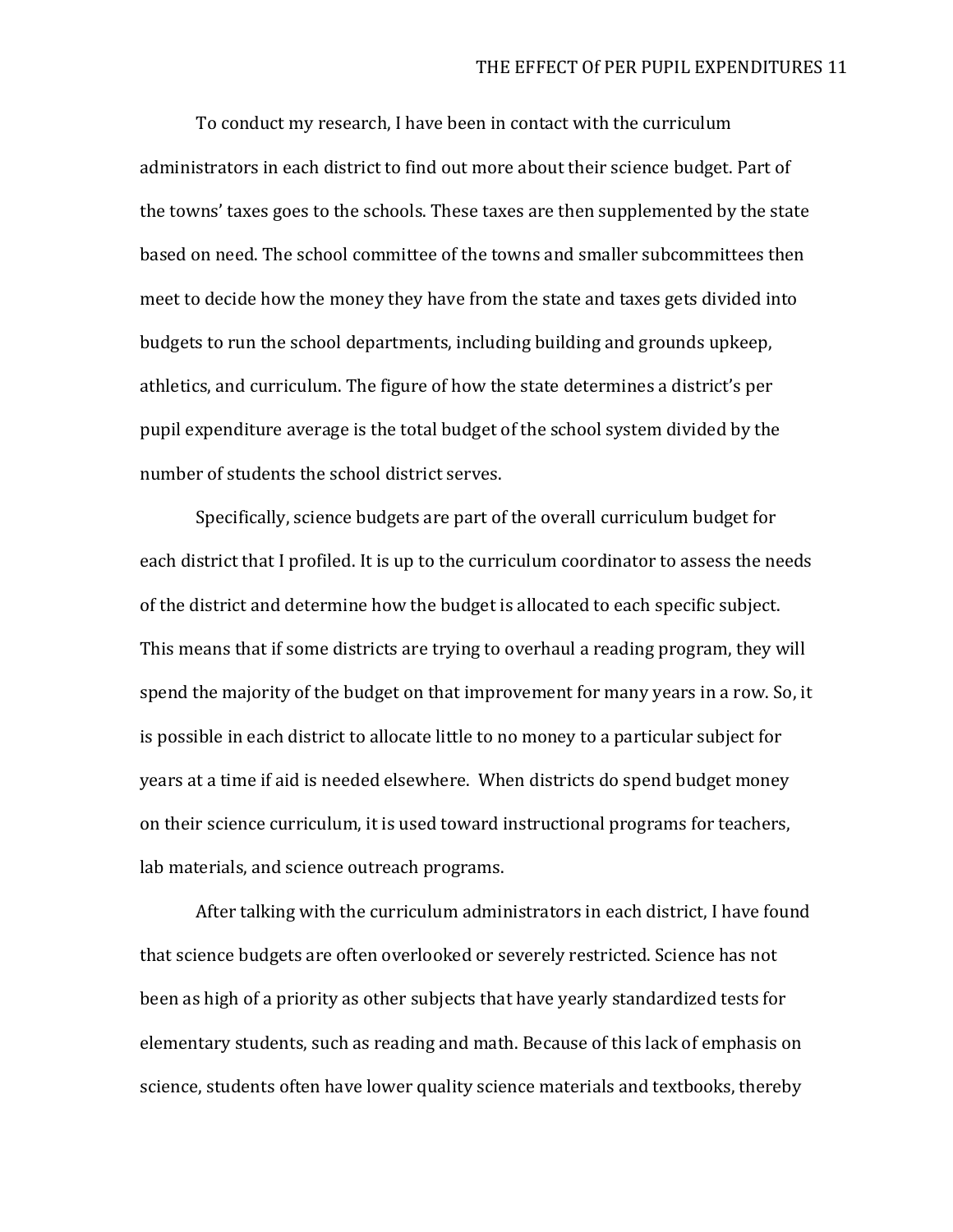To conduct my research, I have been in contact with the curriculum administrators in each district to find out more about their science budget. Part of the towns' taxes goes to the schools. These taxes are then supplemented by the state based on need. The school committee of the towns and smaller subcommittees then meet to decide how the money they have from the state and taxes gets divided into budgets to run the school departments, including building and grounds upkeep, athletics, and curriculum. The figure of how the state determines a district's per pupil expenditure average is the total budget of the school system divided by the number of students the school district serves.

Specifically, science budgets are part of the overall curriculum budget for each district that I profiled. It is up to the curriculum coordinator to assess the needs of the district and determine how the budget is allocated to each specific subject. This means that if some districts are trying to overhaul a reading program, they will spend the majority of the budget on that improvement for many years in a row. So, it is possible in each district to allocate little to no money to a particular subject for years at a time if aid is needed elsewhere. When districts do spend budget money on their science curriculum, it is used toward instructional programs for teachers, lab materials, and science outreach programs.

After talking with the curriculum administrators in each district, I have found that science budgets are often overlooked or severely restricted. Science has not been as high of a priority as other subjects that have yearly standardized tests for elementary students, such as reading and math. Because of this lack of emphasis on science, students often have lower quality science materials and textbooks, thereby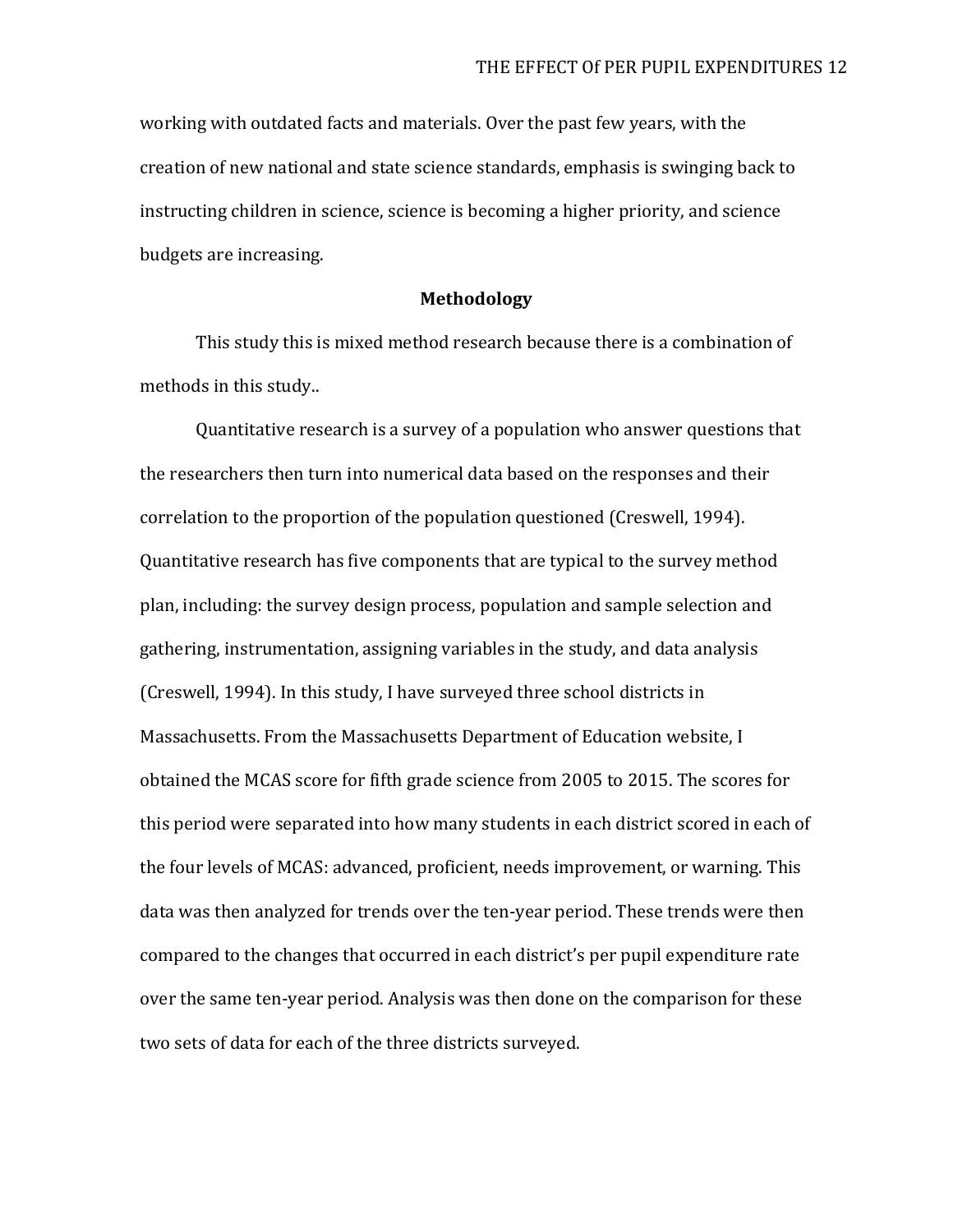working with outdated facts and materials. Over the past few years, with the creation of new national and state science standards, emphasis is swinging back to instructing children in science, science is becoming a higher priority, and science budgets are increasing.

#### **Methodology**

This study this is mixed method research because there is a combination of methods in this study..

Quantitative research is a survey of a population who answer questions that the researchers then turn into numerical data based on the responses and their correlation to the proportion of the population questioned (Creswell, 1994). Quantitative research has five components that are typical to the survey method plan, including: the survey design process, population and sample selection and gathering, instrumentation, assigning variables in the study, and data analysis (Creswell, 1994). In this study, I have surveyed three school districts in Massachusetts. From the Massachusetts Department of Education website, I obtained the MCAS score for fifth grade science from 2005 to 2015. The scores for this period were separated into how many students in each district scored in each of the four levels of MCAS: advanced, proficient, needs improvement, or warning. This data was then analyzed for trends over the ten-year period. These trends were then compared to the changes that occurred in each district's per pupil expenditure rate over the same ten-year period. Analysis was then done on the comparison for these two sets of data for each of the three districts surveyed.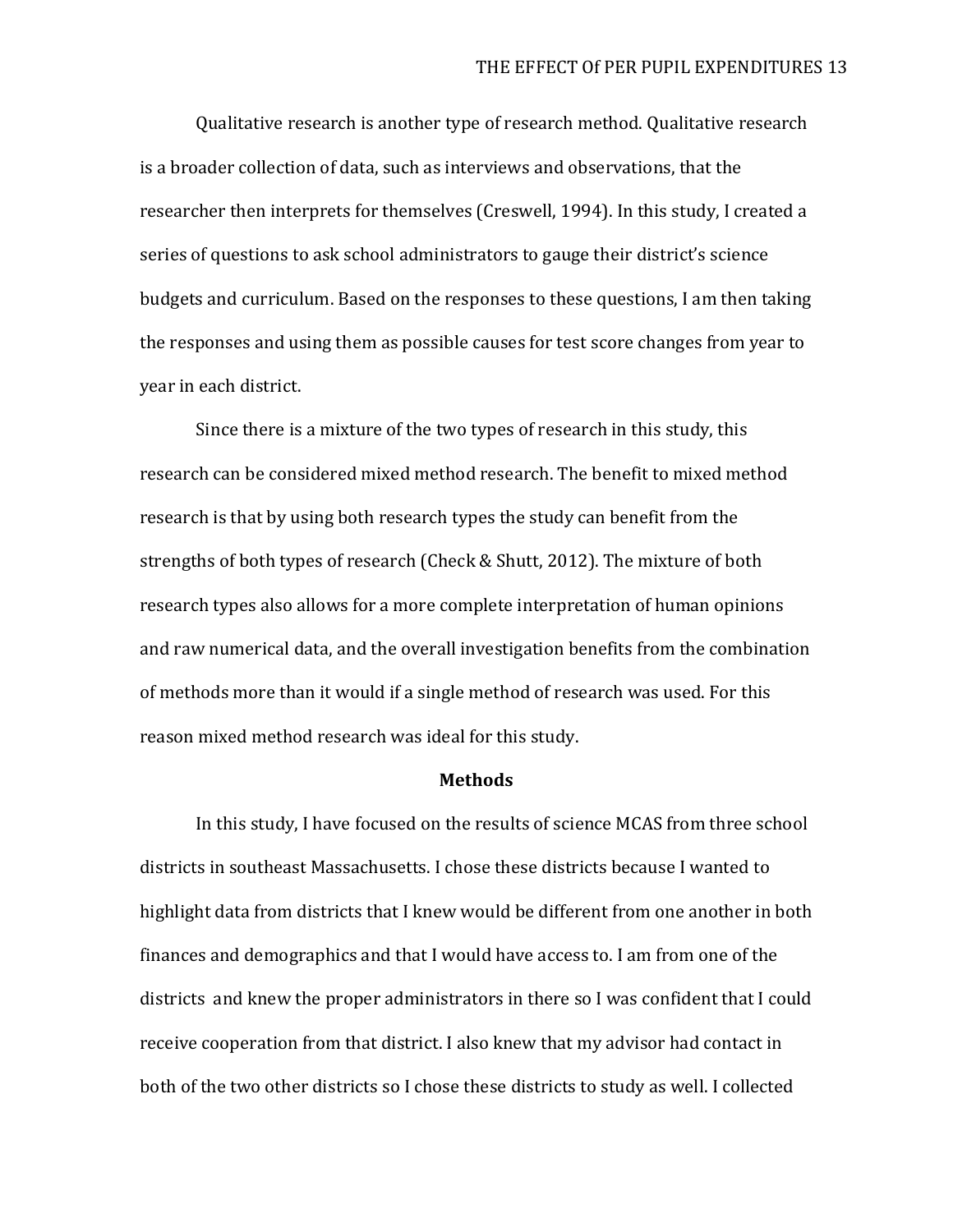Qualitative research is another type of research method. Qualitative research is a broader collection of data, such as interviews and observations, that the researcher then interprets for themselves (Creswell, 1994). In this study, I created a series of questions to ask school administrators to gauge their district's science budgets and curriculum. Based on the responses to these questions, I am then taking the responses and using them as possible causes for test score changes from year to year in each district.

Since there is a mixture of the two types of research in this study, this research can be considered mixed method research. The benefit to mixed method research is that by using both research types the study can benefit from the strengths of both types of research (Check & Shutt, 2012). The mixture of both research types also allows for a more complete interpretation of human opinions and raw numerical data, and the overall investigation benefits from the combination of methods more than it would if a single method of research was used. For this reason mixed method research was ideal for this study.

#### **Methods**

In this study, I have focused on the results of science MCAS from three school districts in southeast Massachusetts. I chose these districts because I wanted to highlight data from districts that I knew would be different from one another in both finances and demographics and that I would have access to. I am from one of the districts and knew the proper administrators in there so I was confident that I could receive cooperation from that district. I also knew that my advisor had contact in both of the two other districts so I chose these districts to study as well. I collected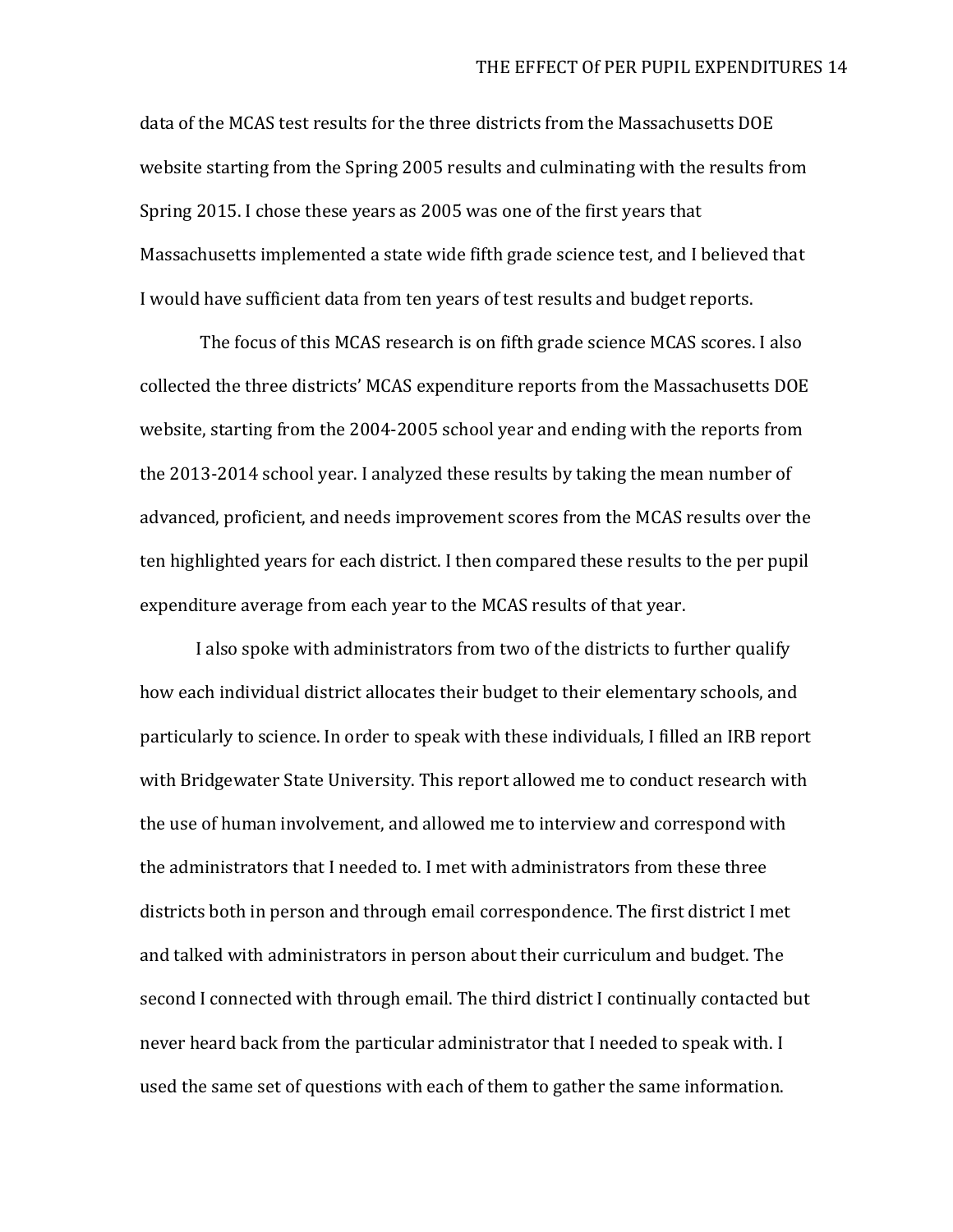data of the MCAS test results for the three districts from the Massachusetts DOE website starting from the Spring 2005 results and culminating with the results from Spring 2015. I chose these years as 2005 was one of the first years that Massachusetts implemented a state wide fifth grade science test, and I believed that I would have sufficient data from ten years of test results and budget reports.

The focus of this MCAS research is on fifth grade science MCAS scores. I also collected the three districts' MCAS expenditure reports from the Massachusetts DOE website, starting from the 2004-2005 school year and ending with the reports from the 2013-2014 school year. I analyzed these results by taking the mean number of advanced, proficient, and needs improvement scores from the MCAS results over the ten highlighted years for each district. I then compared these results to the per pupil expenditure average from each year to the MCAS results of that year.

I also spoke with administrators from two of the districts to further qualify how each individual district allocates their budget to their elementary schools, and particularly to science. In order to speak with these individuals, I filled an IRB report with Bridgewater State University. This report allowed me to conduct research with the use of human involvement, and allowed me to interview and correspond with the administrators that I needed to. I met with administrators from these three districts both in person and through email correspondence. The first district I met and talked with administrators in person about their curriculum and budget. The second I connected with through email. The third district I continually contacted but never heard back from the particular administrator that I needed to speak with. I used the same set of questions with each of them to gather the same information.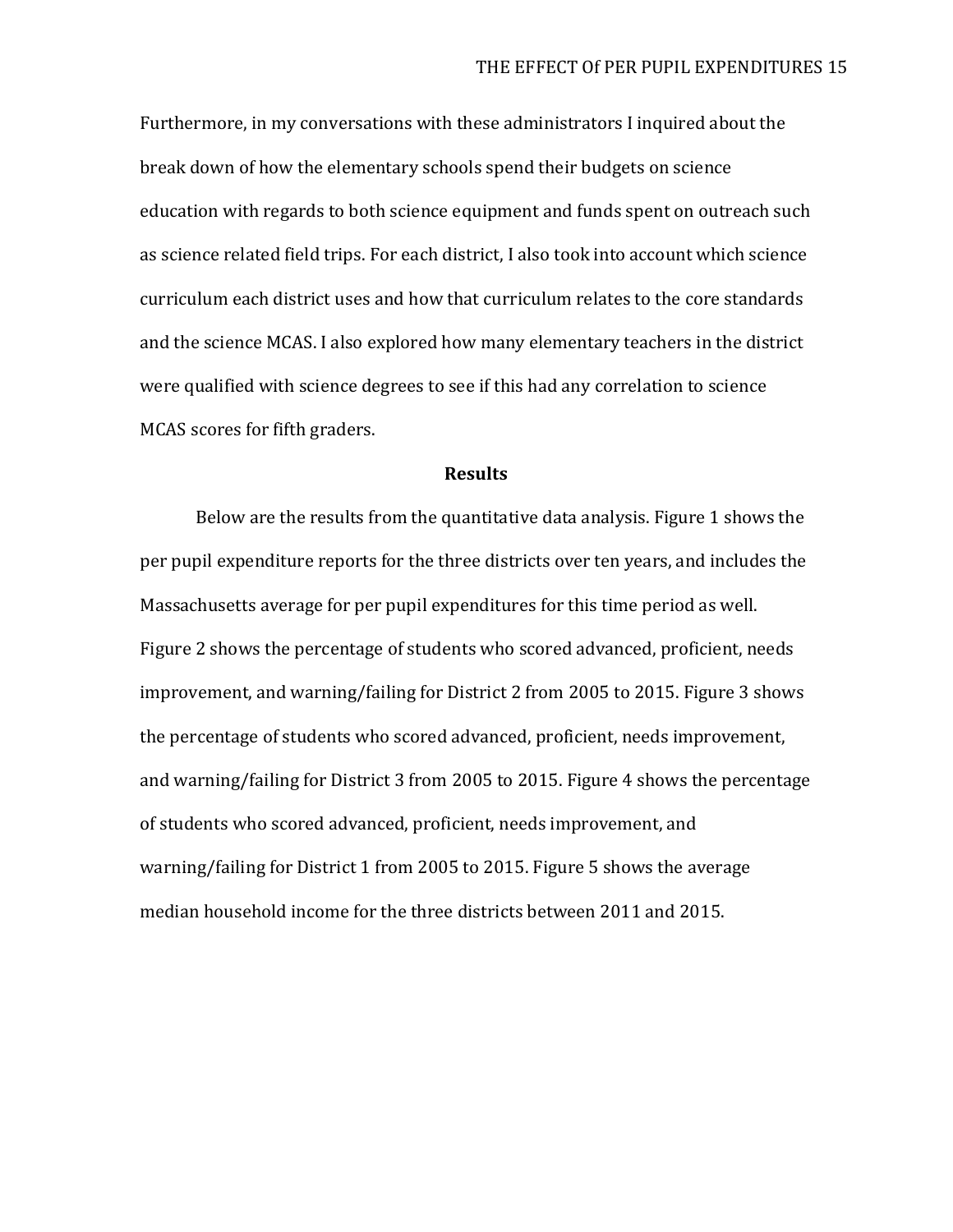Furthermore, in my conversations with these administrators I inquired about the break down of how the elementary schools spend their budgets on science education with regards to both science equipment and funds spent on outreach such as science related field trips. For each district, I also took into account which science curriculum each district uses and how that curriculum relates to the core standards and the science MCAS. I also explored how many elementary teachers in the district were qualified with science degrees to see if this had any correlation to science MCAS scores for fifth graders.

#### **Results**

Below are the results from the quantitative data analysis. Figure 1 shows the per pupil expenditure reports for the three districts over ten years, and includes the Massachusetts average for per pupil expenditures for this time period as well. Figure 2 shows the percentage of students who scored advanced, proficient, needs improvement, and warning/failing for District 2 from 2005 to 2015. Figure 3 shows the percentage of students who scored advanced, proficient, needs improvement, and warning/failing for District 3 from 2005 to 2015. Figure 4 shows the percentage of students who scored advanced, proficient, needs improvement, and warning/failing for District 1 from 2005 to 2015. Figure 5 shows the average median household income for the three districts between 2011 and 2015.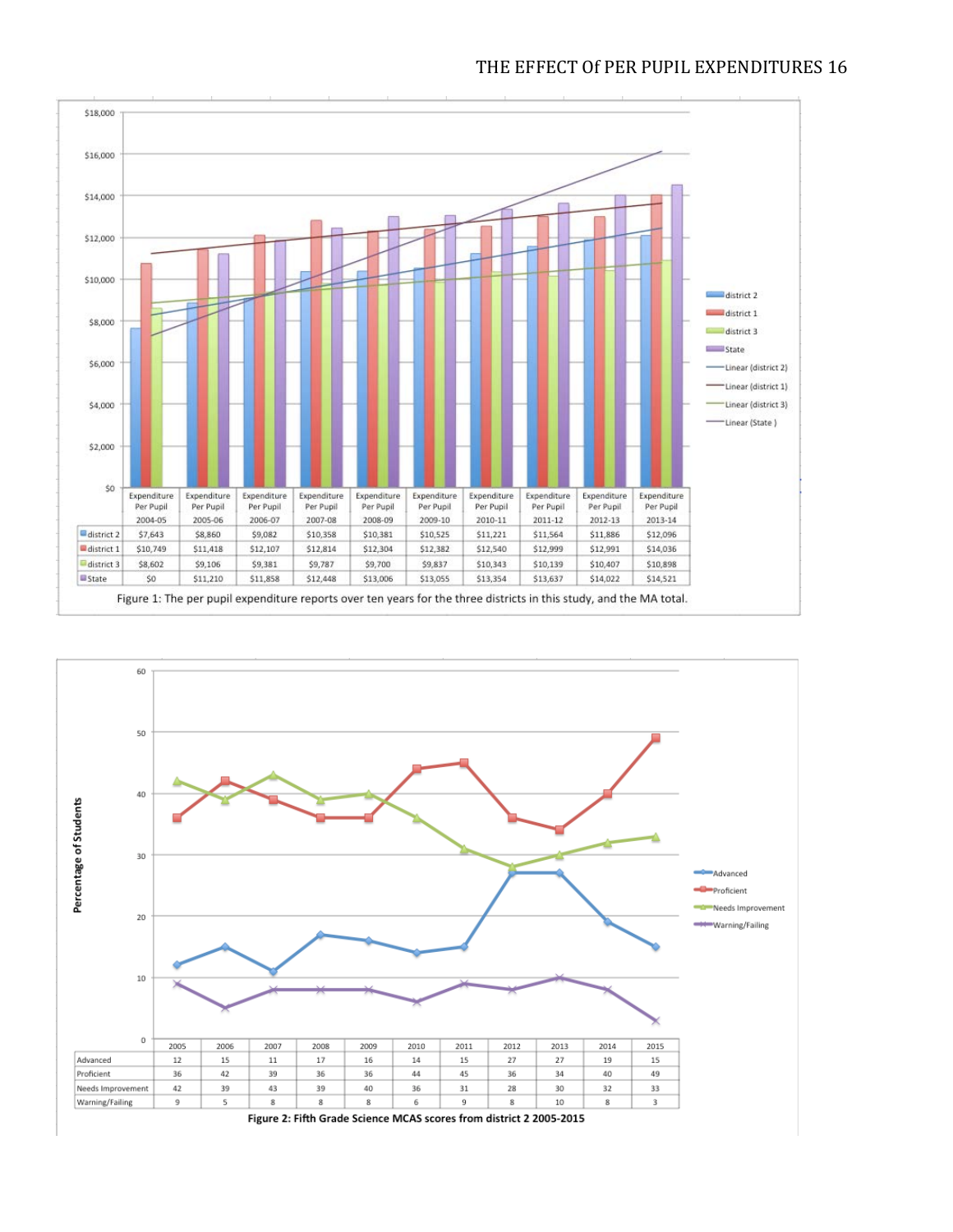

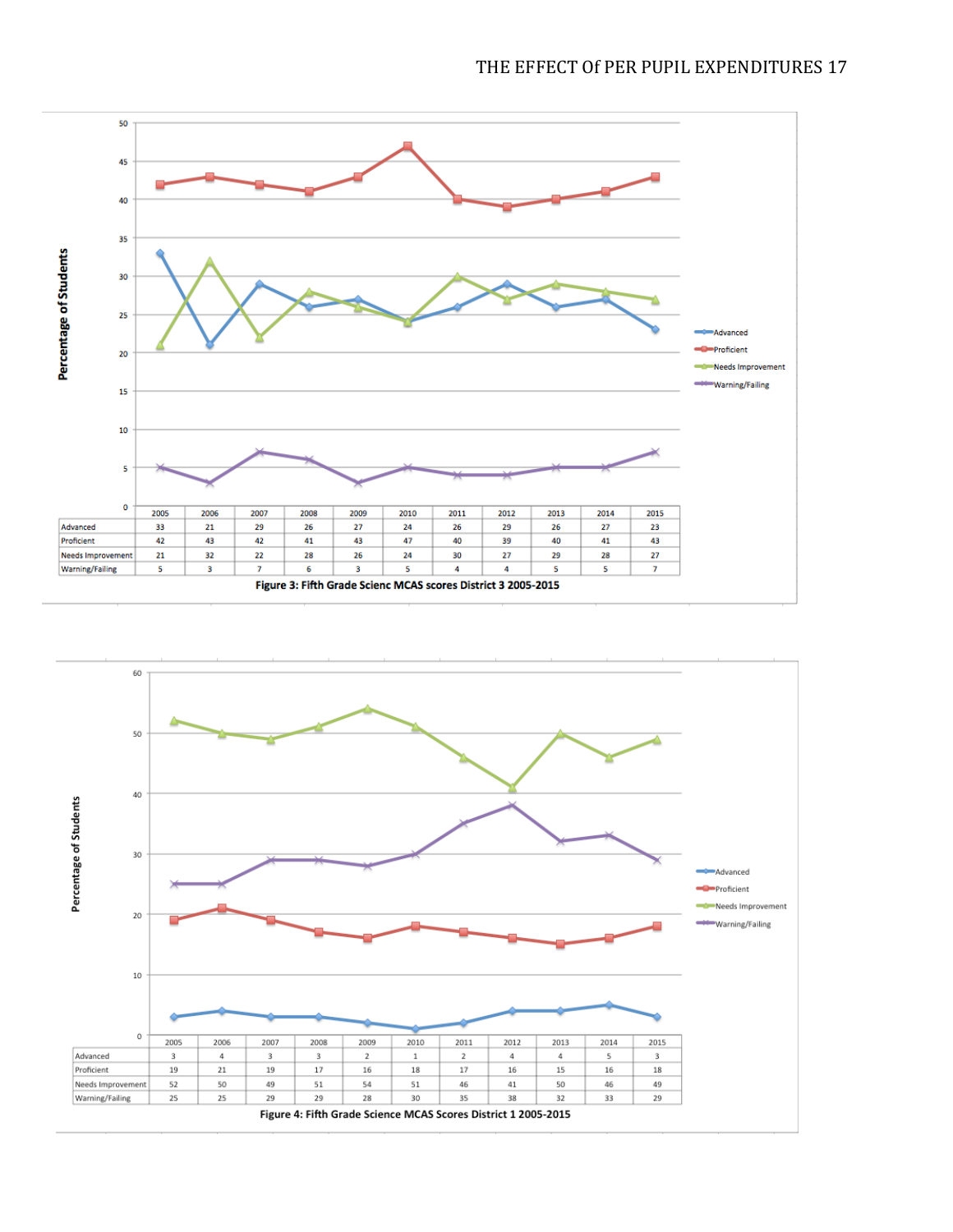

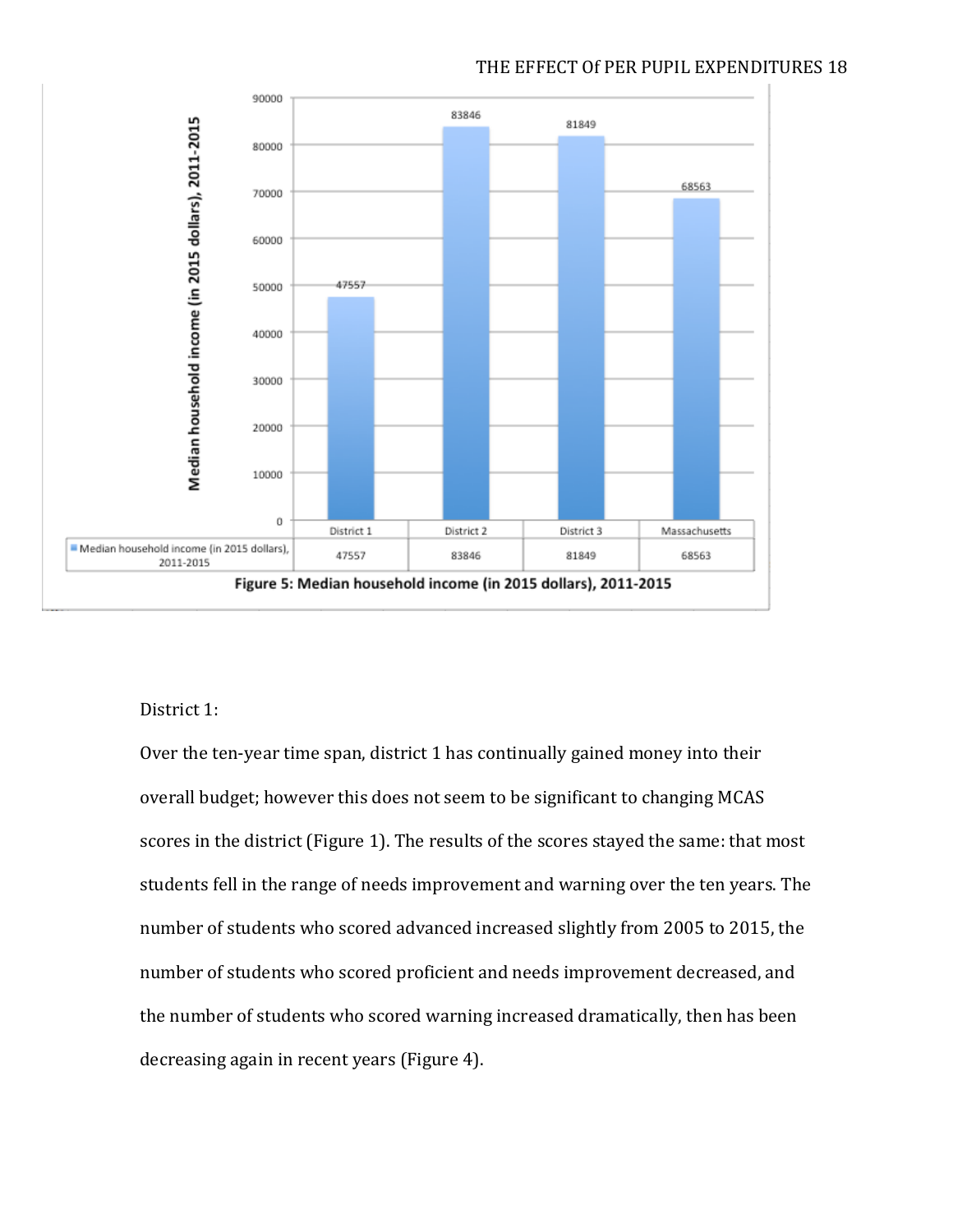

# THE EFFECT Of PER PUPIL EXPENDITURES 18

# District 1:

Over the ten-year time span, district 1 has continually gained money into their overall budget; however this does not seem to be significant to changing MCAS scores in the district (Figure 1). The results of the scores stayed the same: that most students fell in the range of needs improvement and warning over the ten years. The number of students who scored advanced increased slightly from 2005 to 2015, the number of students who scored proficient and needs improvement decreased, and the number of students who scored warning increased dramatically, then has been decreasing again in recent years (Figure 4).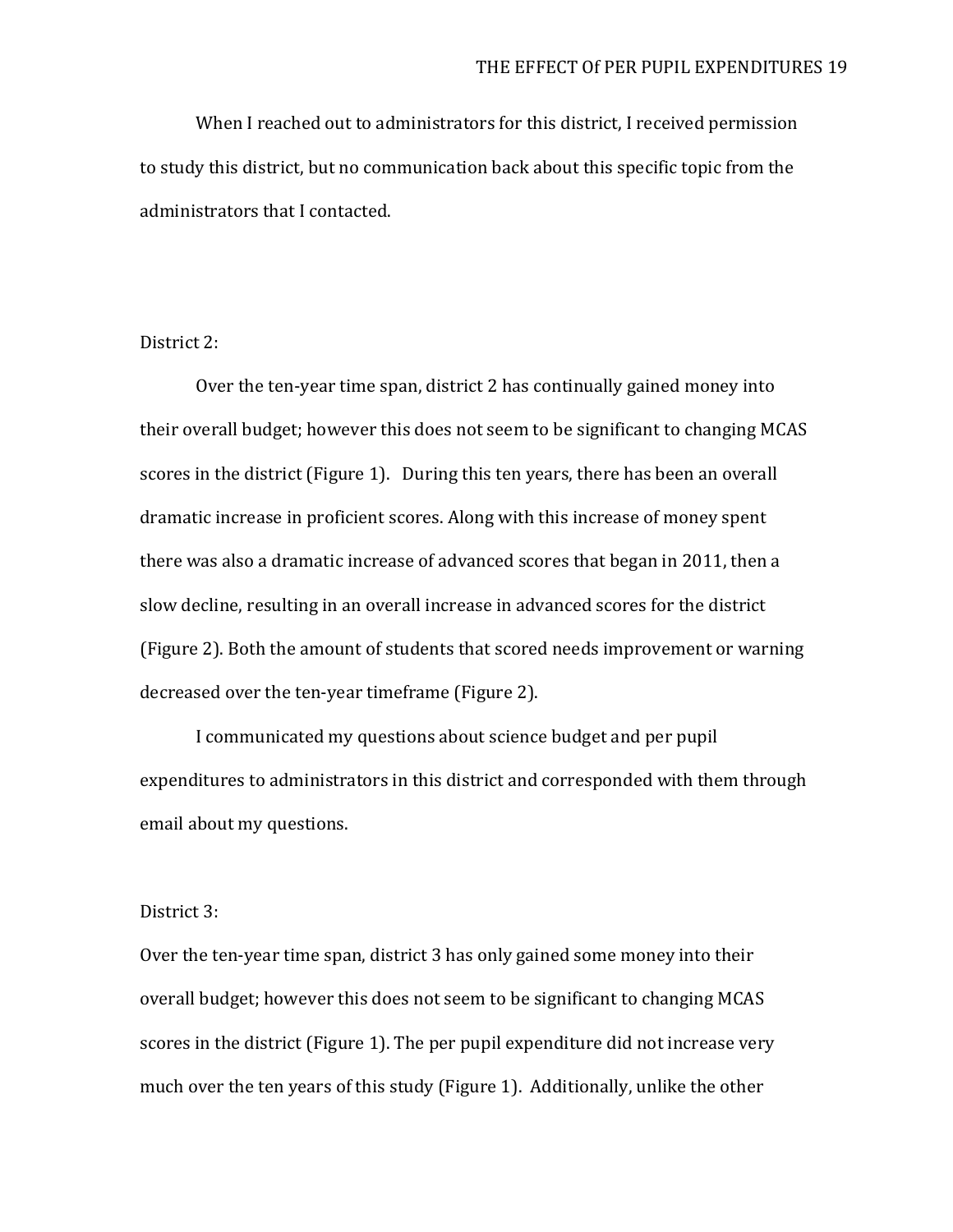When I reached out to administrators for this district, I received permission to study this district, but no communication back about this specific topic from the administrators that I contacted.

# District 2:

Over the ten-year time span, district 2 has continually gained money into their overall budget; however this does not seem to be significant to changing MCAS scores in the district (Figure 1). During this ten years, there has been an overall dramatic increase in proficient scores. Along with this increase of money spent there was also a dramatic increase of advanced scores that began in 2011, then a slow decline, resulting in an overall increase in advanced scores for the district (Figure 2). Both the amount of students that scored needs improvement or warning decreased over the ten-year timeframe (Figure 2).

I communicated my questions about science budget and per pupil expenditures to administrators in this district and corresponded with them through email about my questions.

#### District 3:

Over the ten-year time span, district 3 has only gained some money into their overall budget; however this does not seem to be significant to changing MCAS scores in the district (Figure 1). The per pupil expenditure did not increase very much over the ten years of this study (Figure 1). Additionally, unlike the other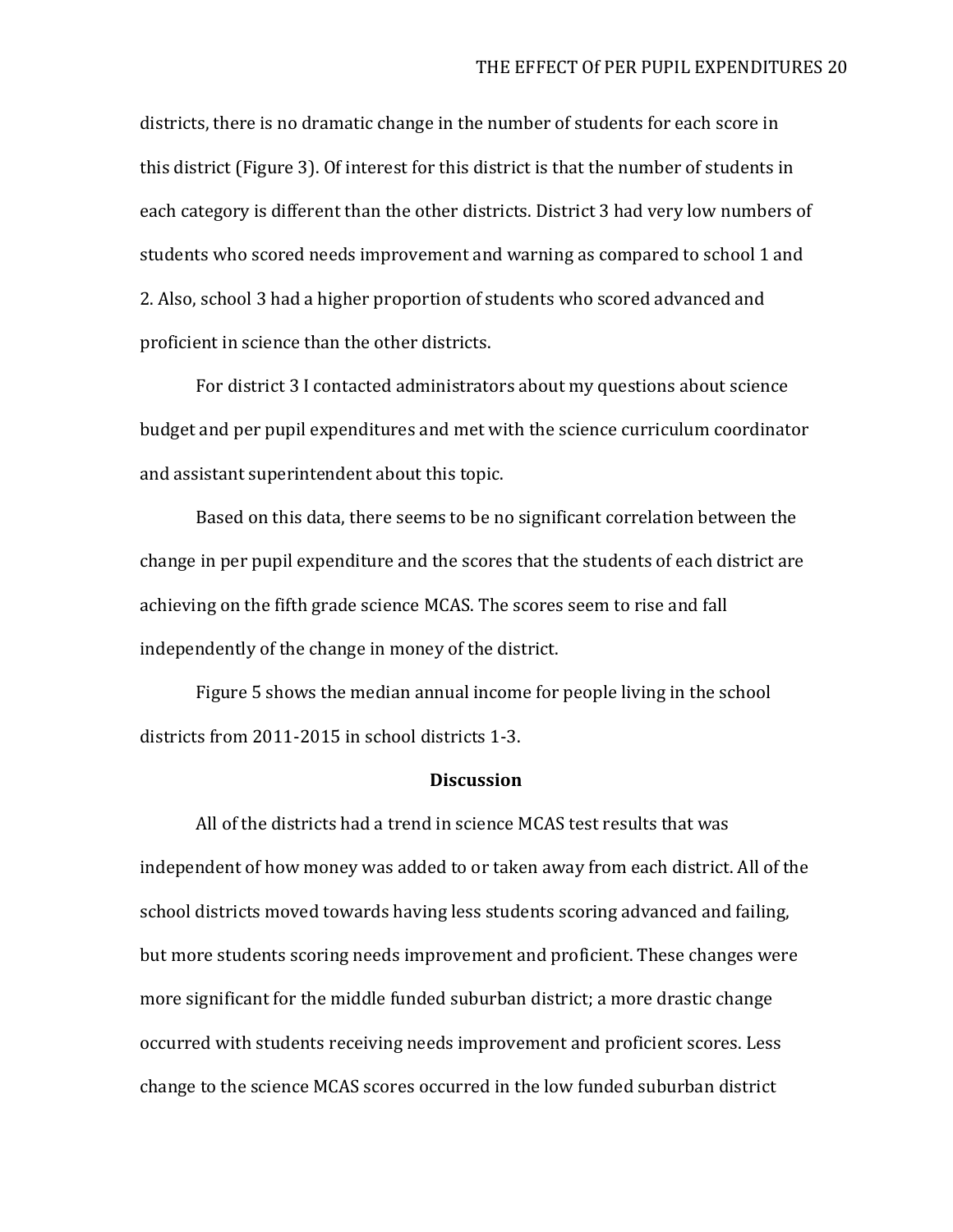districts, there is no dramatic change in the number of students for each score in this district (Figure 3). Of interest for this district is that the number of students in each category is different than the other districts. District 3 had very low numbers of students who scored needs improvement and warning as compared to school 1 and 2. Also, school 3 had a higher proportion of students who scored advanced and proficient in science than the other districts.

For district 3 I contacted administrators about my questions about science budget and per pupil expenditures and met with the science curriculum coordinator and assistant superintendent about this topic.

Based on this data, there seems to be no significant correlation between the change in per pupil expenditure and the scores that the students of each district are achieving on the fifth grade science MCAS. The scores seem to rise and fall independently of the change in money of the district.

Figure 5 shows the median annual income for people living in the school districts from 2011-2015 in school districts 1-3.

### **Discussion**

All of the districts had a trend in science MCAS test results that was independent of how money was added to or taken away from each district. All of the school districts moved towards having less students scoring advanced and failing, but more students scoring needs improvement and proficient. These changes were more significant for the middle funded suburban district; a more drastic change occurred with students receiving needs improvement and proficient scores. Less change to the science MCAS scores occurred in the low funded suburban district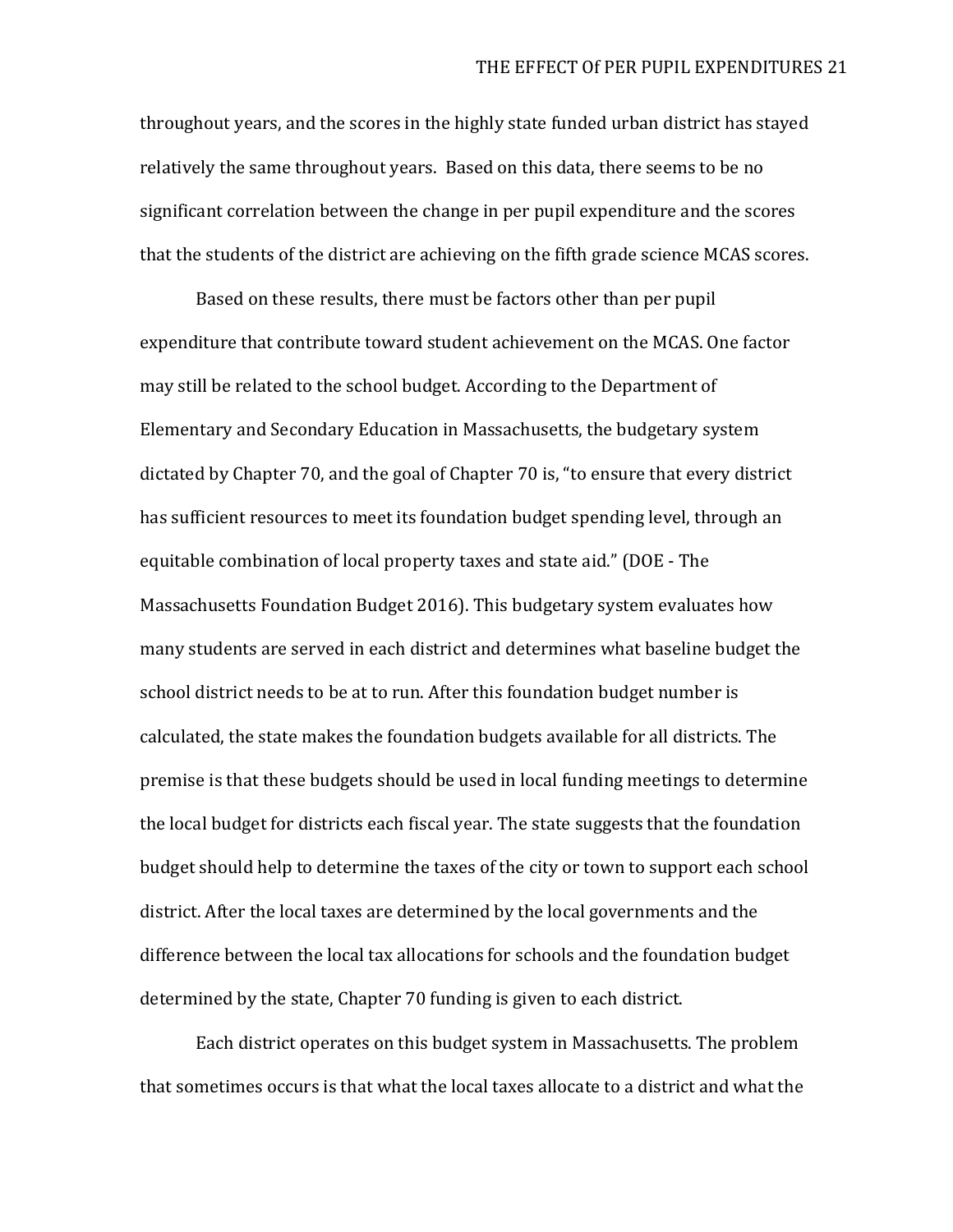throughout years, and the scores in the highly state funded urban district has stayed relatively the same throughout years. Based on this data, there seems to be no significant correlation between the change in per pupil expenditure and the scores that the students of the district are achieving on the fifth grade science MCAS scores.

Based on these results, there must be factors other than per pupil expenditure that contribute toward student achievement on the MCAS. One factor may still be related to the school budget. According to the Department of Elementary and Secondary Education in Massachusetts, the budgetary system dictated by Chapter 70, and the goal of Chapter 70 is, "to ensure that every district has sufficient resources to meet its foundation budget spending level, through an equitable combination of local property taxes and state aid." (DOE - The Massachusetts Foundation Budget 2016). This budgetary system evaluates how many students are served in each district and determines what baseline budget the school district needs to be at to run. After this foundation budget number is calculated, the state makes the foundation budgets available for all districts. The premise is that these budgets should be used in local funding meetings to determine the local budget for districts each fiscal year. The state suggests that the foundation budget should help to determine the taxes of the city or town to support each school district. After the local taxes are determined by the local governments and the difference between the local tax allocations for schools and the foundation budget determined by the state, Chapter 70 funding is given to each district.

Each district operates on this budget system in Massachusetts. The problem that sometimes occurs is that what the local taxes allocate to a district and what the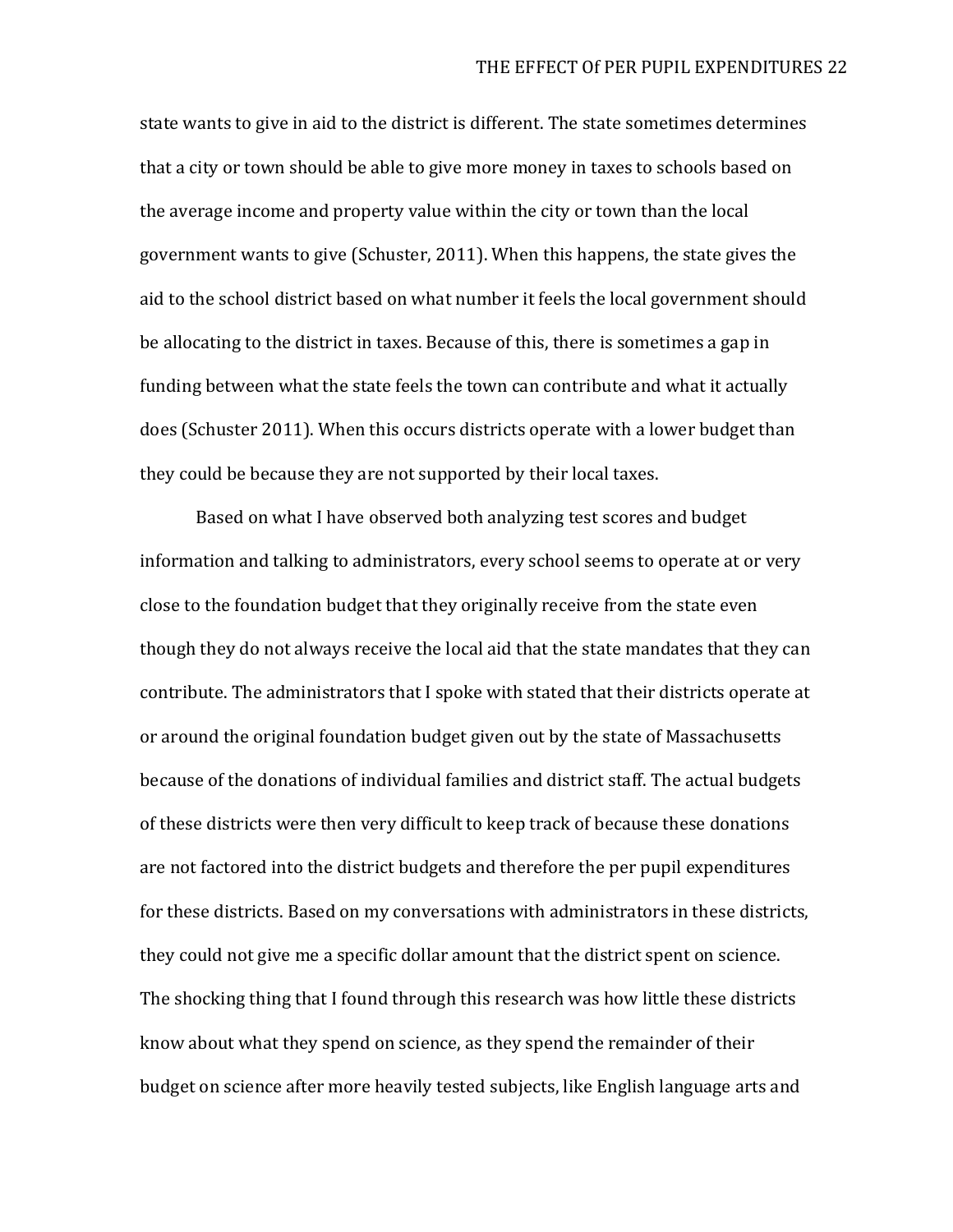state wants to give in aid to the district is different. The state sometimes determines that a city or town should be able to give more money in taxes to schools based on the average income and property value within the city or town than the local government wants to give (Schuster, 2011). When this happens, the state gives the aid to the school district based on what number it feels the local government should be allocating to the district in taxes. Because of this, there is sometimes a gap in funding between what the state feels the town can contribute and what it actually does (Schuster 2011). When this occurs districts operate with a lower budget than they could be because they are not supported by their local taxes.

Based on what I have observed both analyzing test scores and budget information and talking to administrators, every school seems to operate at or very close to the foundation budget that they originally receive from the state even though they do not always receive the local aid that the state mandates that they can contribute. The administrators that I spoke with stated that their districts operate at or around the original foundation budget given out by the state of Massachusetts because of the donations of individual families and district staff. The actual budgets of these districts were then very difficult to keep track of because these donations are not factored into the district budgets and therefore the per pupil expenditures for these districts. Based on my conversations with administrators in these districts, they could not give me a specific dollar amount that the district spent on science. The shocking thing that I found through this research was how little these districts know about what they spend on science, as they spend the remainder of their budget on science after more heavily tested subjects, like English language arts and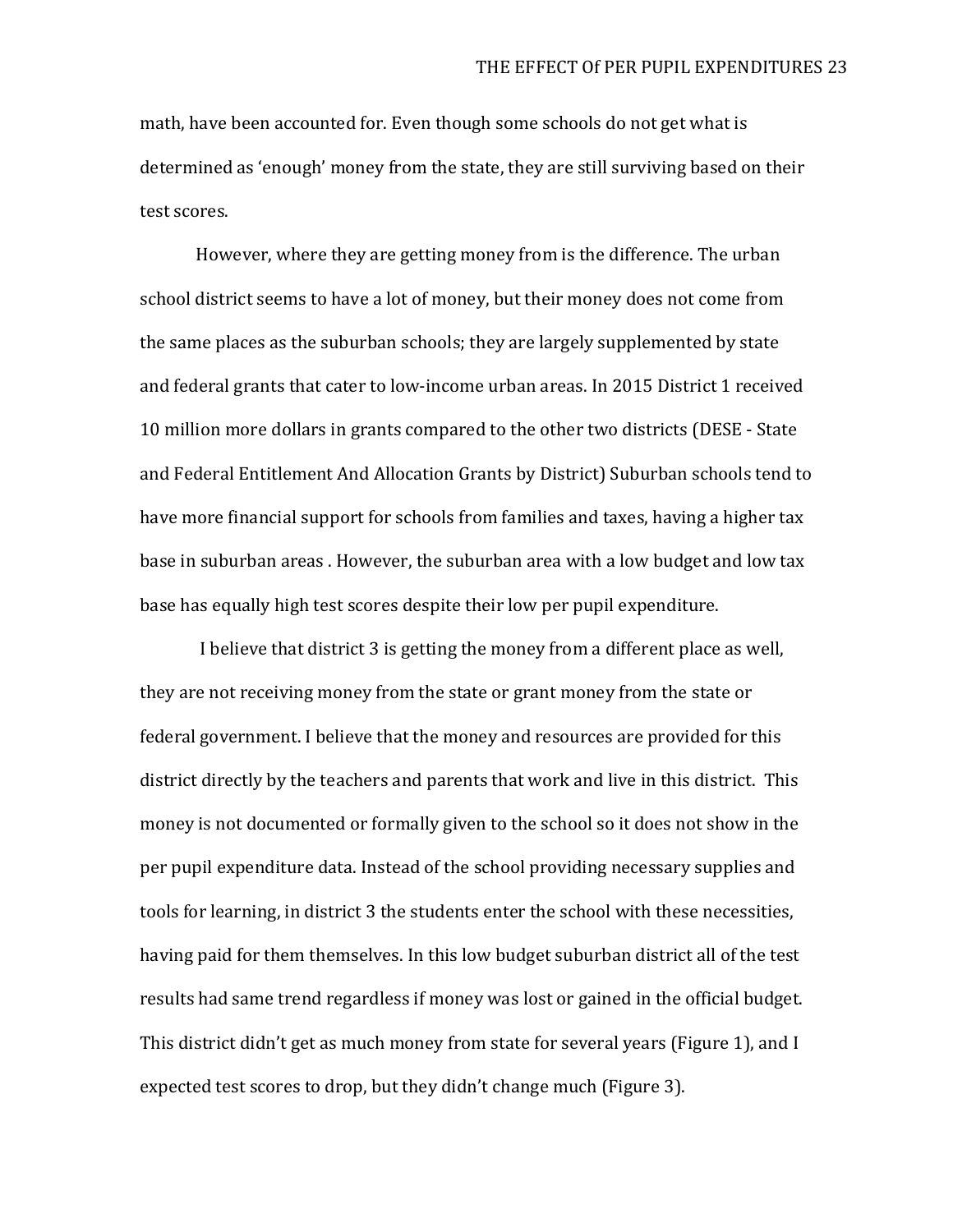math, have been accounted for. Even though some schools do not get what is determined as 'enough' money from the state, they are still surviving based on their test scores.

However, where they are getting money from is the difference. The urban school district seems to have a lot of money, but their money does not come from the same places as the suburban schools; they are largely supplemented by state and federal grants that cater to low-income urban areas. In 2015 District 1 received 10 million more dollars in grants compared to the other two districts (DESE - State and Federal Entitlement And Allocation Grants by District) Suburban schools tend to have more financial support for schools from families and taxes, having a higher tax base in suburban areas . However, the suburban area with a low budget and low tax base has equally high test scores despite their low per pupil expenditure.

I believe that district 3 is getting the money from a different place as well, they are not receiving money from the state or grant money from the state or federal government. I believe that the money and resources are provided for this district directly by the teachers and parents that work and live in this district. This money is not documented or formally given to the school so it does not show in the per pupil expenditure data. Instead of the school providing necessary supplies and tools for learning, in district 3 the students enter the school with these necessities, having paid for them themselves. In this low budget suburban district all of the test results had same trend regardless if money was lost or gained in the official budget. This district didn't get as much money from state for several years (Figure 1), and I expected test scores to drop, but they didn't change much (Figure 3).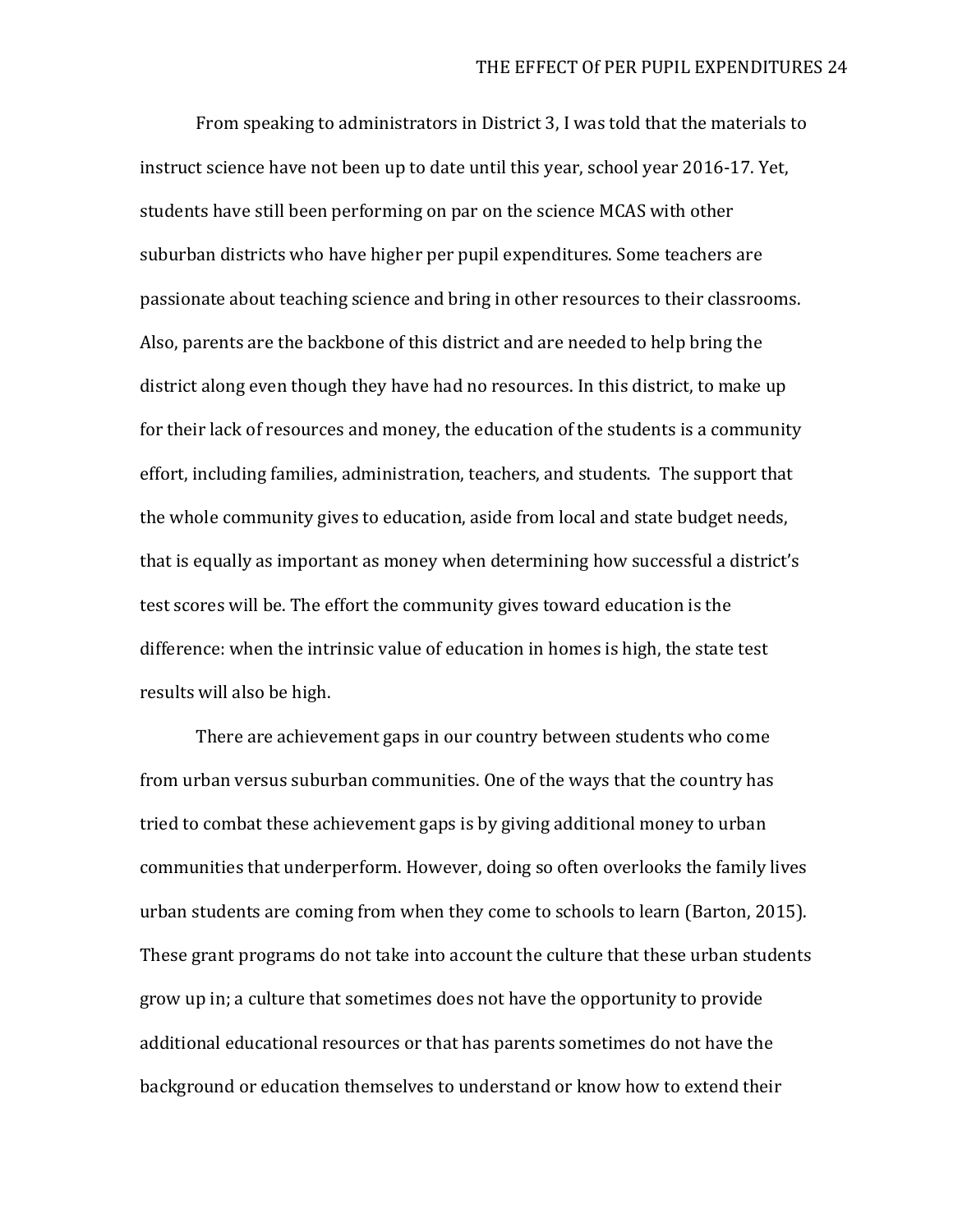From speaking to administrators in District 3, I was told that the materials to instruct science have not been up to date until this year, school year 2016-17. Yet, students have still been performing on par on the science MCAS with other suburban districts who have higher per pupil expenditures. Some teachers are passionate about teaching science and bring in other resources to their classrooms. Also, parents are the backbone of this district and are needed to help bring the district along even though they have had no resources. In this district, to make up for their lack of resources and money, the education of the students is a community effort, including families, administration, teachers, and students. The support that the whole community gives to education, aside from local and state budget needs, that is equally as important as money when determining how successful a district's test scores will be. The effort the community gives toward education is the difference: when the intrinsic value of education in homes is high, the state test results will also be high.

There are achievement gaps in our country between students who come from urban versus suburban communities. One of the ways that the country has tried to combat these achievement gaps is by giving additional money to urban communities that underperform. However, doing so often overlooks the family lives urban students are coming from when they come to schools to learn (Barton, 2015). These grant programs do not take into account the culture that these urban students grow up in; a culture that sometimes does not have the opportunity to provide additional educational resources or that has parents sometimes do not have the background or education themselves to understand or know how to extend their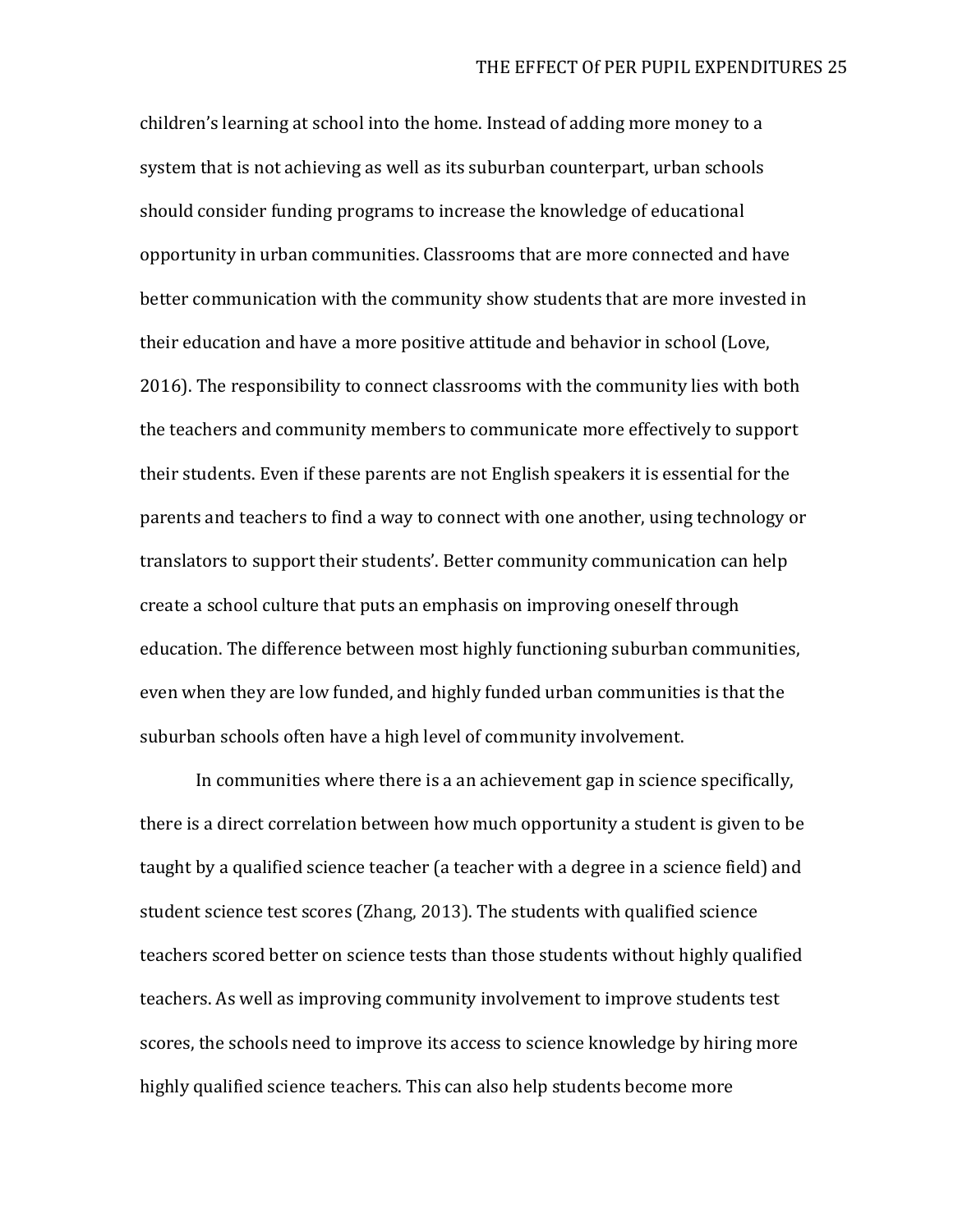children's learning at school into the home. Instead of adding more money to a system that is not achieving as well as its suburban counterpart, urban schools should consider funding programs to increase the knowledge of educational opportunity in urban communities. Classrooms that are more connected and have better communication with the community show students that are more invested in their education and have a more positive attitude and behavior in school (Love, 2016). The responsibility to connect classrooms with the community lies with both the teachers and community members to communicate more effectively to support their students. Even if these parents are not English speakers it is essential for the parents and teachers to find a way to connect with one another, using technology or translators to support their students'. Better community communication can help create a school culture that puts an emphasis on improving oneself through education. The difference between most highly functioning suburban communities, even when they are low funded, and highly funded urban communities is that the suburban schools often have a high level of community involvement.

In communities where there is a an achievement gap in science specifically, there is a direct correlation between how much opportunity a student is given to be taught by a qualified science teacher (a teacher with a degree in a science field) and student science test scores (Zhang, 2013). The students with qualified science teachers scored better on science tests than those students without highly qualified teachers. As well as improving community involvement to improve students test scores, the schools need to improve its access to science knowledge by hiring more highly qualified science teachers. This can also help students become more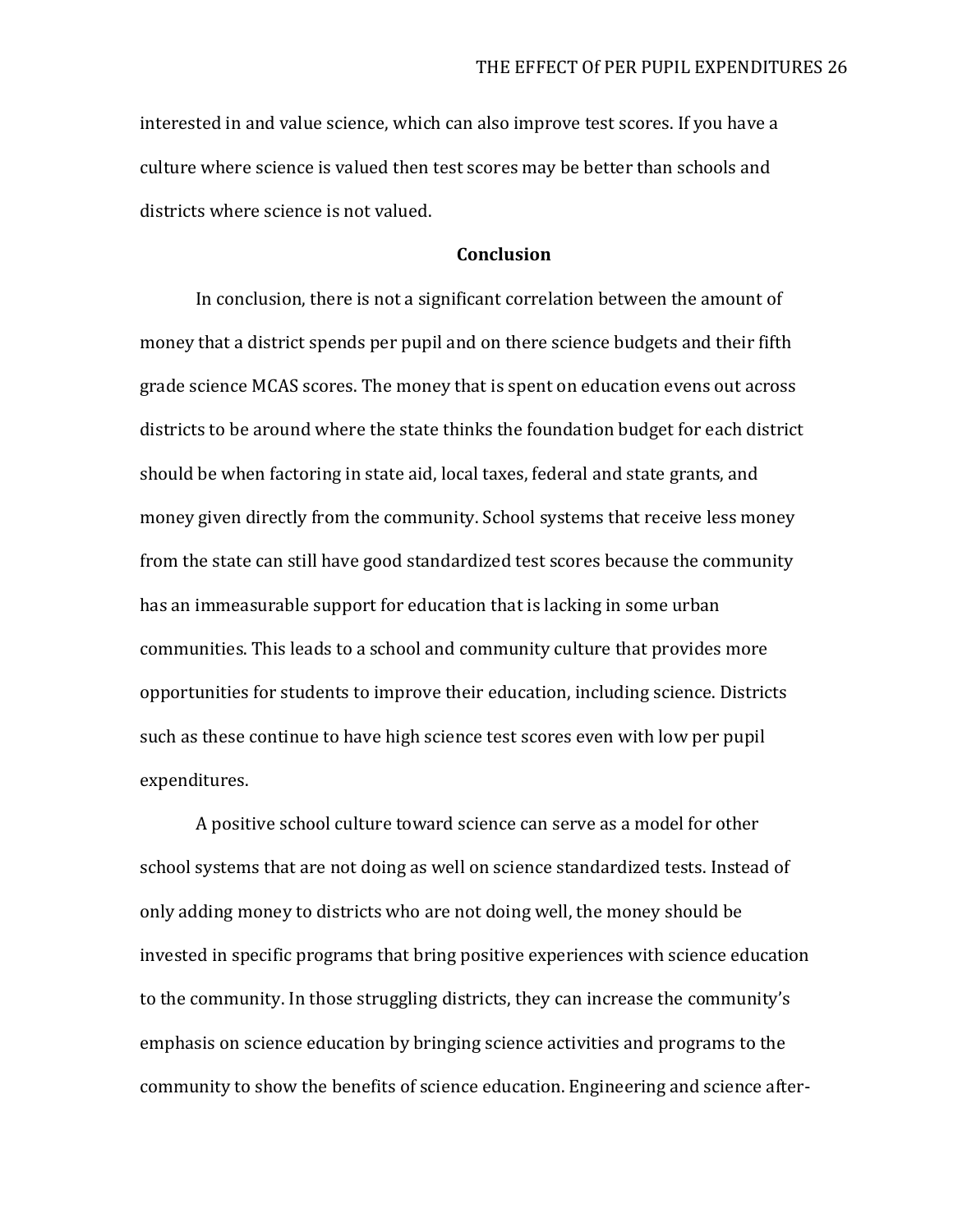interested in and value science, which can also improve test scores. If you have a culture where science is valued then test scores may be better than schools and districts where science is not valued.

#### **Conclusion**

In conclusion, there is not a significant correlation between the amount of money that a district spends per pupil and on there science budgets and their fifth grade science MCAS scores. The money that is spent on education evens out across districts to be around where the state thinks the foundation budget for each district should be when factoring in state aid, local taxes, federal and state grants, and money given directly from the community. School systems that receive less money from the state can still have good standardized test scores because the community has an immeasurable support for education that is lacking in some urban communities. This leads to a school and community culture that provides more opportunities for students to improve their education, including science. Districts such as these continue to have high science test scores even with low per pupil expenditures.

A positive school culture toward science can serve as a model for other school systems that are not doing as well on science standardized tests. Instead of only adding money to districts who are not doing well, the money should be invested in specific programs that bring positive experiences with science education to the community. In those struggling districts, they can increase the community's emphasis on science education by bringing science activities and programs to the community to show the benefits of science education. Engineering and science after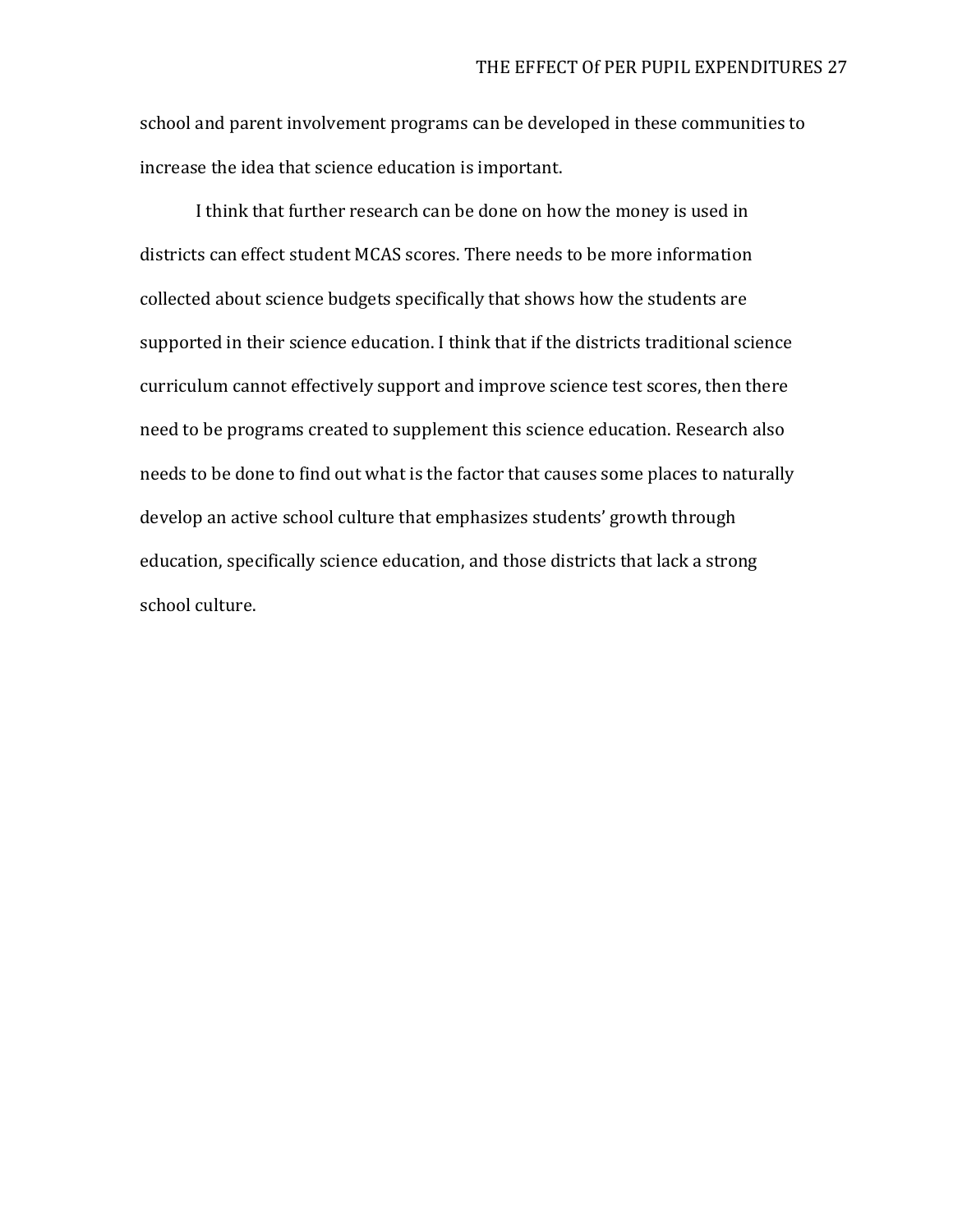school and parent involvement programs can be developed in these communities to increase the idea that science education is important.

I think that further research can be done on how the money is used in districts can effect student MCAS scores. There needs to be more information collected about science budgets specifically that shows how the students are supported in their science education. I think that if the districts traditional science curriculum cannot effectively support and improve science test scores, then there need to be programs created to supplement this science education. Research also needs to be done to find out what is the factor that causes some places to naturally develop an active school culture that emphasizes students' growth through education, specifically science education, and those districts that lack a strong school culture.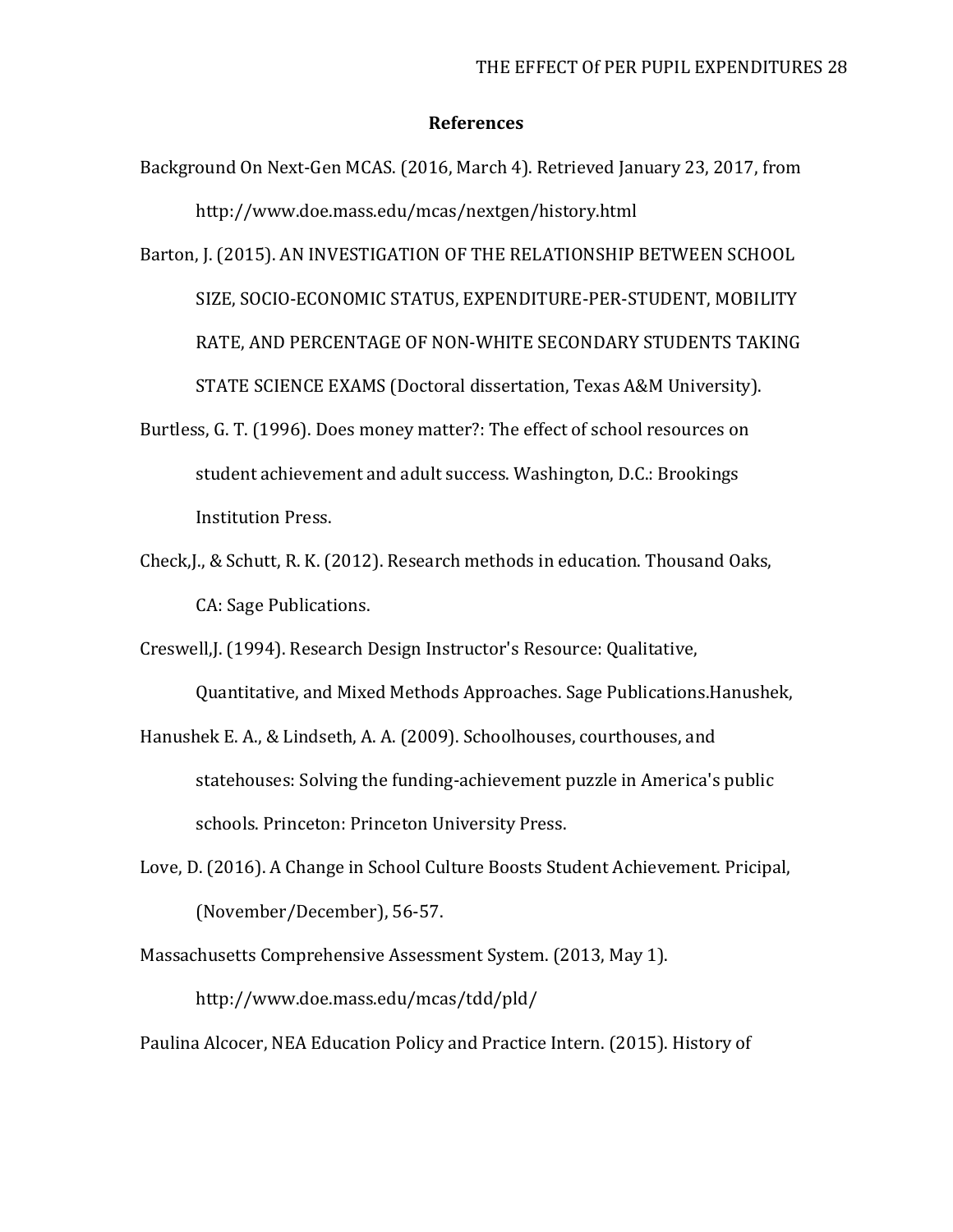#### **References**

- Background On Next-Gen MCAS. (2016, March 4). Retrieved January 23, 2017, from http://www.doe.mass.edu/mcas/nextgen/history.html
- Barton, J. (2015). AN INVESTIGATION OF THE RELATIONSHIP BETWEEN SCHOOL SIZE, SOCIO-ECONOMIC STATUS, EXPENDITURE-PER-STUDENT, MOBILITY RATE, AND PERCENTAGE OF NON-WHITE SECONDARY STUDENTS TAKING STATE SCIENCE EXAMS (Doctoral dissertation, Texas A&M University).
- Burtless, G. T. (1996). Does money matter?: The effect of school resources on student achievement and adult success. Washington, D.C.: Brookings Institution Press.
- Check,J., & Schutt, R. K. (2012). Research methods in education. Thousand Oaks, CA: Sage Publications.

Creswell,J. (1994). Research Design Instructor's Resource: Qualitative, Quantitative, and Mixed Methods Approaches. Sage Publications.Hanushek,

Hanushek E. A., & Lindseth, A. A. (2009). Schoolhouses, courthouses, and

statehouses: Solving the funding-achievement puzzle in America's public

schools. Princeton: Princeton University Press.

Love, D. (2016). A Change in School Culture Boosts Student Achievement. Pricipal, (November/December), 56-57.

Massachusetts Comprehensive Assessment System. (2013, May 1). http://www.doe.mass.edu/mcas/tdd/pld/

Paulina Alcocer, NEA Education Policy and Practice Intern. (2015). History of